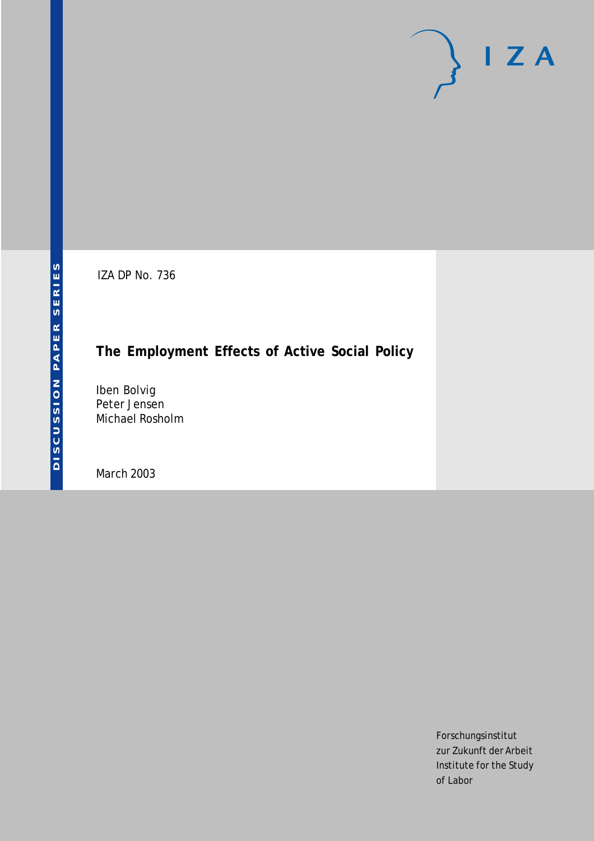# $I Z A$

IZA DP No. 736

## **The Employment Effects of Active Social Policy**

Iben Bolvig Peter Jensen Michael Rosholm

March 2003

Forschungsinstitut zur Zukunft der Arbeit Institute for the Study of Labor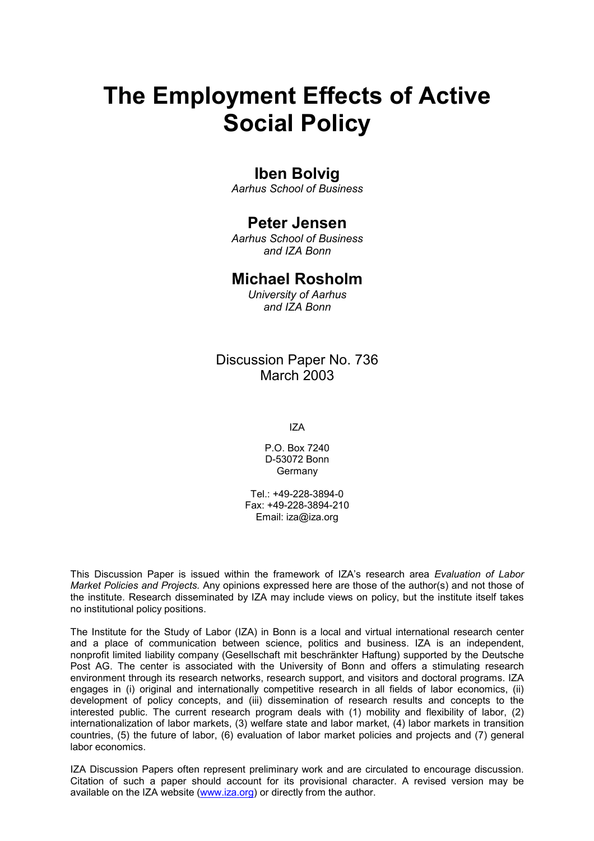# **The Employment Effects of Active Social Policy**

#### **Iben Bolvig**

*Aarhus School of Business* 

#### **Peter Jensen**

*Aarhus School of Business and IZA Bonn* 

#### **Michael Rosholm**

*University of Aarhus and IZA Bonn* 

#### Discussion Paper No. 736 March 2003

IZA

P.O. Box 7240 D-53072 Bonn Germany

Tel.: +49-228-3894-0 Fax: +49-228-3894-210 Email: [iza@iza.org](mailto:iza@iza.org)

This Discussion Paper is issued within the framework of IZA's research area *Evaluation of Labor Market Policies and Projects.* Any opinions expressed here are those of the author(s) and not those of the institute. Research disseminated by IZA may include views on policy, but the institute itself takes no institutional policy positions.

The Institute for the Study of Labor (IZA) in Bonn is a local and virtual international research center and a place of communication between science, politics and business. IZA is an independent, nonprofit limited liability company (Gesellschaft mit beschränkter Haftung) supported by the Deutsche Post AG. The center is associated with the University of Bonn and offers a stimulating research environment through its research networks, research support, and visitors and doctoral programs. IZA engages in (i) original and internationally competitive research in all fields of labor economics, (ii) development of policy concepts, and (iii) dissemination of research results and concepts to the interested public. The current research program deals with (1) mobility and flexibility of labor, (2) internationalization of labor markets, (3) welfare state and labor market, (4) labor markets in transition countries, (5) the future of labor, (6) evaluation of labor market policies and projects and (7) general labor economics.

IZA Discussion Papers often represent preliminary work and are circulated to encourage discussion. Citation of such a paper should account for its provisional character. A revised version may be available on the IZA website ([www.iza.org](http://www.iza.org/)) or directly from the author.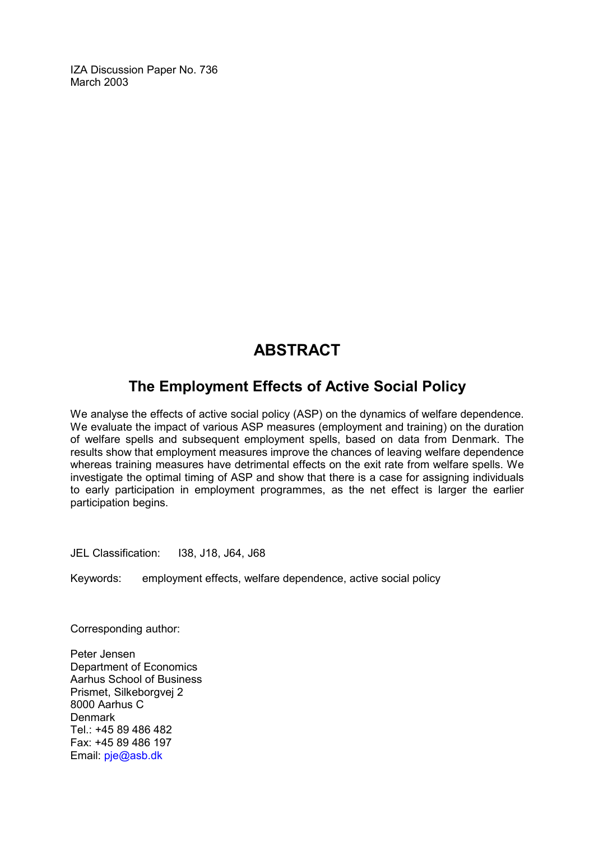IZA Discussion Paper No. 736 March 2003

## **ABSTRACT**

### **The Employment Effects of Active Social Policy**

We analyse the effects of active social policy (ASP) on the dynamics of welfare dependence. We evaluate the impact of various ASP measures (employment and training) on the duration of welfare spells and subsequent employment spells, based on data from Denmark. The results show that employment measures improve the chances of leaving welfare dependence whereas training measures have detrimental effects on the exit rate from welfare spells. We investigate the optimal timing of ASP and show that there is a case for assigning individuals to early participation in employment programmes, as the net effect is larger the earlier participation begins.

JEL Classification: I38, J18, J64, J68

Keywords: employment effects, welfare dependence, active social policy

Corresponding author:

Peter Jensen Department of Economics Aarhus School of Business Prismet, Silkeborgvej 2 8000 Aarhus C Denmark Tel.: +45 89 486 482 Fax: +45 89 486 197 Email: [pje@asb.dk](mailto:pje@asb.dk)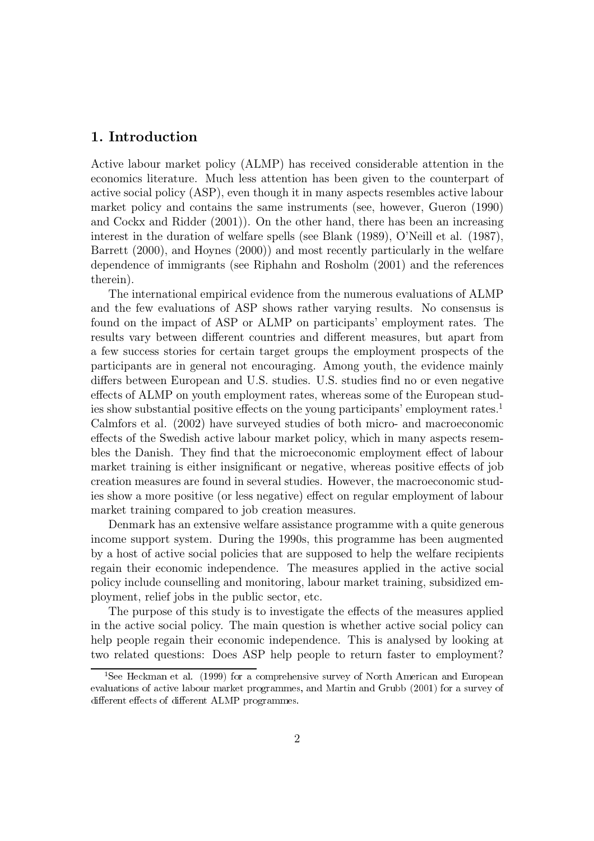#### 1. Introduction

Active labour market policy (ALMP) has received considerable attention in the economics literature. Much less attention has been given to the counterpart of active social policy (ASP), even though it in many aspects resembles active labour market policy and contains the same instruments (see, however, Gueron (1990) and Cockx and Ridder (2001)). On the other hand, there has been an increasing interest in the duration of welfare spells (see Blank (1989), O'Neill et al. (1987), Barrett (2000), and Hoynes (2000)) and most recently particularly in the welfare dependence of immigrants (see Riphahn and Rosholm (2001) and the references therein).

The international empirical evidence from the numerous evaluations of ALMP and the few evaluations of ASP shows rather varying results. No consensus is found on the impact of ASP or ALMP on participants' employment rates. The results vary between different countries and different measures, but apart from a few success stories for certain target groups the employment prospects of the participants are in general not encouraging. Among youth, the evidence mainly differs between European and U.S. studies. U.S. studies find no or even negative effects of ALMP on youth employment rates, whereas some of the European studies show substantial positive effects on the young participants' employment rates.<sup>1</sup> Calmfors et al. (2002) have surveyed studies of both micro- and macroeconomic effects of the Swedish active labour market policy, which in many aspects resembles the Danish. They find that the microeconomic employment effect of labour market training is either insignificant or negative, whereas positive effects of job creation measures are found in several studies. However, the macroeconomic studies show a more positive (or less negative) effect on regular employment of labour market training compared to job creation measures.

Denmark has an extensive welfare assistance programme with a quite generous income support system. During the 1990s, this programme has been augmented by a host of active social policies that are supposed to help the welfare recipients regain their economic independence. The measures applied in the active social policy include counselling and monitoring, labour market training, subsidized employment, relief jobs in the public sector, etc.

The purpose of this study is to investigate the effects of the measures applied in the active social policy. The main question is whether active social policy can help people regain their economic independence. This is analysed by looking at two related questions: Does ASP help people to return faster to employment?

<sup>&</sup>lt;sup>1</sup>See Heckman et al. (1999) for a comprehensive survey of North American and European evaluations of active labour market programmes, and Martin and Grubb (2001) for a survey of different effects of different ALMP programmes.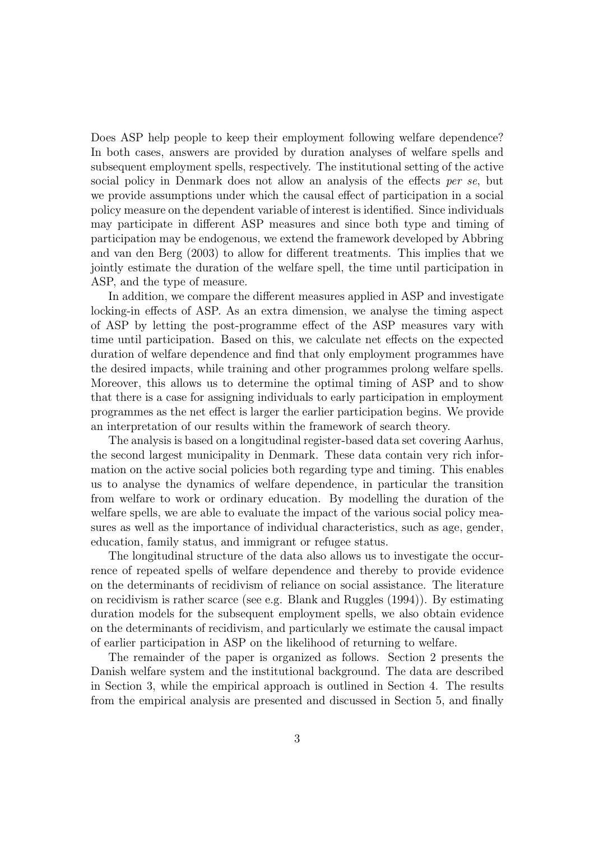Does ASP help people to keep their employment following welfare dependence? In both cases, answers are provided by duration analyses of welfare spells and subsequent employment spells, respectively. The institutional setting of the active social policy in Denmark does not allow an analysis of the effects per se, but we provide assumptions under which the causal effect of participation in a social policy measure on the dependent variable of interest is identified. Since individuals may participate in different ASP measures and since both type and timing of participation may be endogenous, we extend the framework developed by Abbring and van den Berg (2003) to allow for different treatments. This implies that we jointly estimate the duration of the welfare spell, the time until participation in ASP, and the type of measure.

In addition, we compare the different measures applied in ASP and investigate locking-in effects of ASP. As an extra dimension, we analyse the timing aspect of ASP by letting the post-programme effect of the ASP measures vary with time until participation. Based on this, we calculate net effects on the expected duration of welfare dependence and find that only employment programmes have the desired impacts, while training and other programmes prolong welfare spells. Moreover, this allows us to determine the optimal timing of ASP and to show that there is a case for assigning individuals to early participation in employment programmes as the net effect is larger the earlier participation begins. We provide an interpretation of our results within the framework of search theory.

The analysis is based on a longitudinal register-based data set covering Aarhus, the second largest municipality in Denmark. These data contain very rich information on the active social policies both regarding type and timing. This enables us to analyse the dynamics of welfare dependence, in particular the transition from welfare to work or ordinary education. By modelling the duration of the welfare spells, we are able to evaluate the impact of the various social policy measures as well as the importance of individual characteristics, such as age, gender, education, family status, and immigrant or refugee status.

The longitudinal structure of the data also allows us to investigate the occurrence of repeated spells of welfare dependence and thereby to provide evidence on the determinants of recidivism of reliance on social assistance. The literature on recidivism is rather scarce (see e.g. Blank and Ruggles  $(1994)$ ). By estimating duration models for the subsequent employment spells, we also obtain evidence on the determinants of recidivism, and particularly we estimate the causal impact of earlier participation in ASP on the likelihood of returning to welfare.

The remainder of the paper is organized as follows. Section 2 presents the Danish welfare system and the institutional background. The data are described in Section 3, while the empirical approach is outlined in Section 4. The results from the empirical analysis are presented and discussed in Section 5, and finally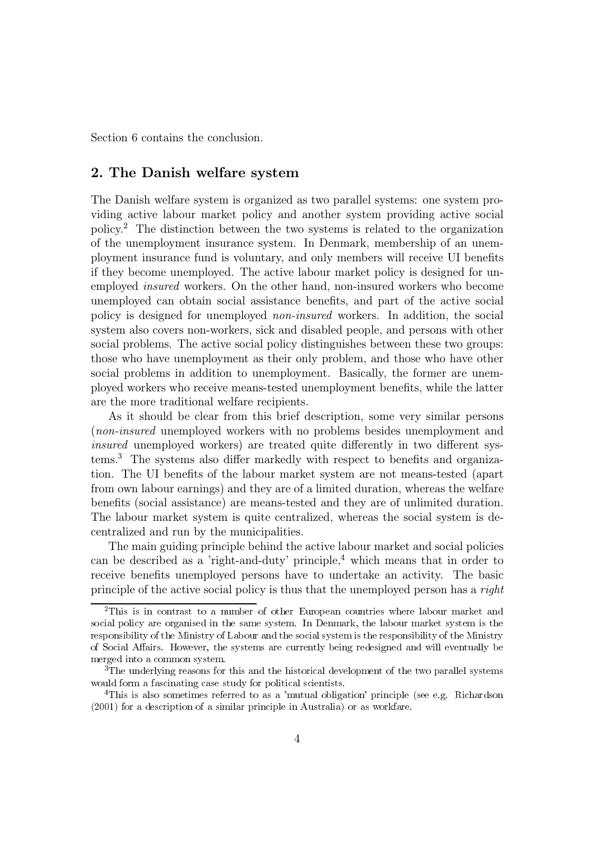Section 6 contains the conclusion.

#### 2. The Danish welfare system

The Danish welfare system is organized as two parallel systems: one system providing active labour market policy and another system providing active social policy.<sup>2</sup> The distinction between the two systems is related to the organization of the unemployment insurance system. In Denmark, membership of an unemployment insurance fund is voluntary, and only members will receive UI benefits if they become unemployed. The active labour market policy is designed for unemployed *insured* workers. On the other hand, non-insured workers who become unemployed can obtain social assistance benefits, and part of the active social policy is designed for unemployed *non-insured* workers. In addition, the social system also covers non-workers, sick and disabled people, and persons with other social problems. The active social policy distinguishes between these two groups: those who have unemployment as their only problem, and those who have other social problems in addition to unemployment. Basically, the former are unemployed workers who receive means-tested unemployment benefits, while the latter are the more traditional welfare recipients.

As it should be clear from this brief description, some very similar persons (non-insured unemployed workers with no problems besides unemployment and *insured* unemployed workers) are treated quite differently in two different systems.<sup>3</sup> The systems also differ markedly with respect to benefits and organization. The UI benefits of the labour market system are not means-tested (apart from own labour earnings) and they are of a limited duration, whereas the welfare benefits (social assistance) are means-tested and they are of unlimited duration. The labour market system is quite centralized, whereas the social system is decentralized and run by the municipalities.

The main guiding principle behind the active labour market and social policies can be described as a 'right-and-duty' principle,<sup>4</sup> which means that in order to receive benefits unemployed persons have to undertake an activity. The basic principle of the active social policy is thus that the unemployed person has a *right* 

 ${}^{2}$ This is in contrast to a number of other European countries where labour market and social policy are organised in the same system. In Denmark, the labour market system is the responsibility of the Ministry of Labour and the social system is the responsibility of the Ministry of Social Affairs. However, the systems are currently being redesigned and will eventually be merged into a common system.

<sup>&</sup>lt;sup>3</sup>The underlying reasons for this and the historical development of the two parallel systems would form a fascinating case study for political scientists.

<sup>&</sup>lt;sup>4</sup>This is also sometimes referred to as a 'mutual obligation' principle (see e.g. Richardson  $(2001)$  for a description of a similar principle in Australia) or as workfare.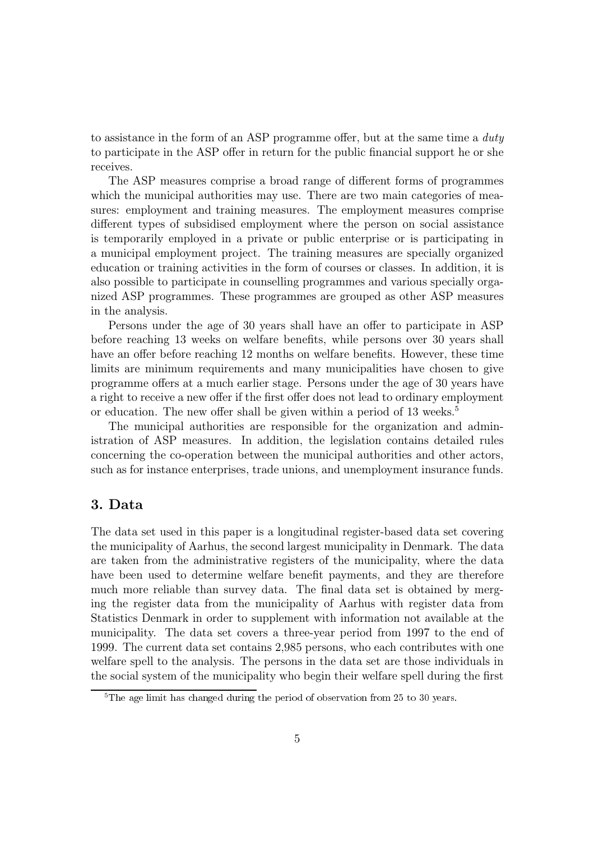to assistance in the form of an ASP programme offer, but at the same time a duty to participate in the ASP offer in return for the public financial support he or she receives.

The ASP measures comprise a broad range of different forms of programmes which the municipal authorities may use. There are two main categories of measures: employment and training measures. The employment measures comprise different types of subsidised employment where the person on social assistance is temporarily employed in a private or public enterprise or is participating in a municipal employment project. The training measures are specially organized education or training activities in the form of courses or classes. In addition, it is also possible to participate in counselling programmes and various specially organized ASP programmes. These programmes are grouped as other ASP measures in the analysis.

Persons under the age of 30 years shall have an offer to participate in ASP before reaching 13 weeks on welfare benefits, while persons over 30 years shall have an offer before reaching 12 months on welfare benefits. However, these time limits are minimum requirements and many municipalities have chosen to give programme offers at a much earlier stage. Persons under the age of 30 years have a right to receive a new offer if the first offer does not lead to ordinary employment or education. The new offer shall be given within a period of 13 weeks.<sup>5</sup>

The municipal authorities are responsible for the organization and administration of ASP measures. In addition, the legislation contains detailed rules concerning the co-operation between the municipal authorities and other actors, such as for instance enterprises, trade unions, and unemployment insurance funds.

#### 3. Data

The data set used in this paper is a longitudinal register-based data set covering the municipality of Aarhus, the second largest municipality in Denmark. The data are taken from the administrative registers of the municipality, where the data have been used to determine welfare benefit payments, and they are therefore much more reliable than survey data. The final data set is obtained by merging the register data from the municipality of Aarhus with register data from Statistics Denmark in order to supplement with information not available at the municipality. The data set covers a three-year period from 1997 to the end of 1999. The current data set contains 2,985 persons, who each contributes with one welfare spell to the analysis. The persons in the data set are those individuals in the social system of the municipality who begin their welfare spell during the first

<sup>&</sup>lt;sup>5</sup>The age limit has changed during the period of observation from 25 to 30 years.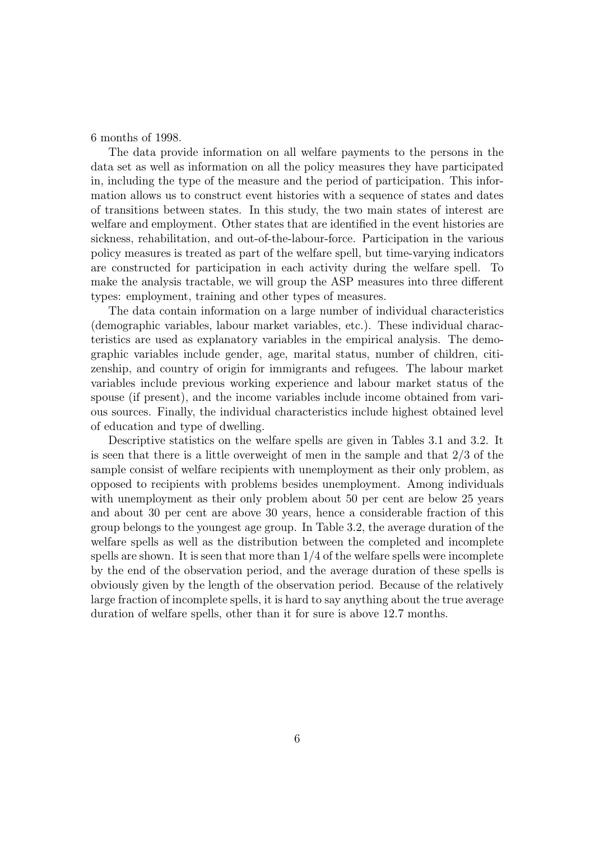6 months of 1998.

The data provide information on all welfare payments to the persons in the data set as well as information on all the policy measures they have participated in, including the type of the measure and the period of participation. This information allows us to construct event histories with a sequence of states and dates of transitions between states. In this study, the two main states of interest are welfare and employment. Other states that are identified in the event histories are sickness, rehabilitation, and out-of-the-labour-force. Participation in the various policy measures is treated as part of the welfare spell, but time-varying indicators are constructed for participation in each activity during the welfare spell. To make the analysis tractable, we will group the ASP measures into three different types: employment, training and other types of measures.

The data contain information on a large number of individual characteristics (demographic variables, labour market variables, etc.). These individual characteristics are used as explanatory variables in the empirical analysis. The demographic variables include gender, age, marital status, number of children, citizenship, and country of origin for immigrants and refugees. The labour market variables include previous working experience and labour market status of the spouse (if present), and the income variables include income obtained from various sources. Finally, the individual characteristics include highest obtained level of education and type of dwelling.

Descriptive statistics on the welfare spells are given in Tables 3.1 and 3.2. It is seen that there is a little overweight of men in the sample and that  $2/3$  of the sample consist of welfare recipients with unemployment as their only problem, as opposed to recipients with problems besides unemployment. Among individuals with unemployment as their only problem about 50 per cent are below 25 years and about 30 per cent are above 30 years, hence a considerable fraction of this group belongs to the youngest age group. In Table 3.2, the average duration of the welfare spells as well as the distribution between the completed and incomplete spells are shown. It is seen that more than  $1/4$  of the welfare spells were incomplete by the end of the observation period, and the average duration of these spells is obviously given by the length of the observation period. Because of the relatively large fraction of incomplete spells, it is hard to say anything about the true average duration of welfare spells, other than it for sure is above 12.7 months.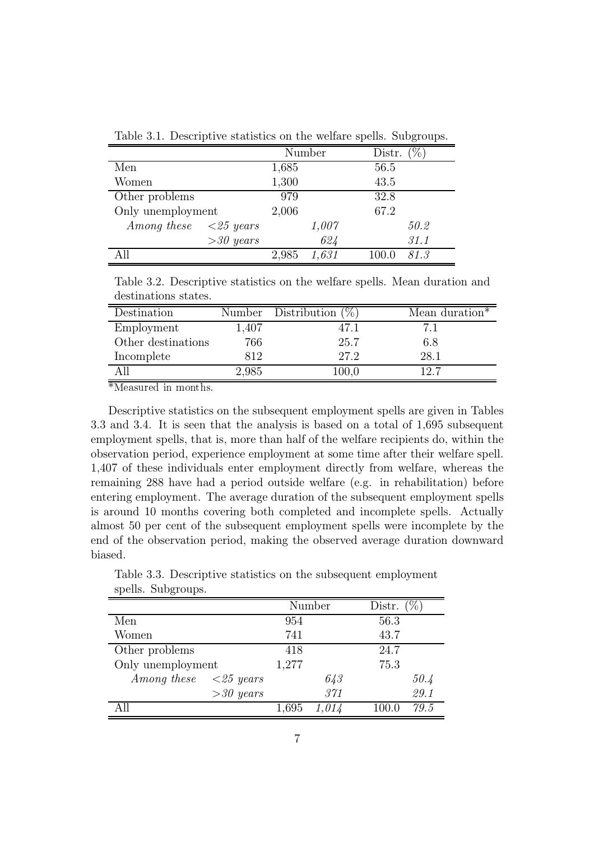Table 3.1. Descriptive statistics on the welfare spells. Subgroups.

|                   |                            |       | Number | Distr. | $\%$ . |
|-------------------|----------------------------|-------|--------|--------|--------|
| Men               |                            | 1,685 |        | 56.5   |        |
| Women             |                            | 1,300 |        | 43.5   |        |
| Other problems    |                            | 979   |        | 32.8   |        |
| Only unemployment |                            | 2,006 |        | 67.2   |        |
| Among these       | $\langle 25 \text{ years}$ |       | 1,007  |        | 50.2   |
|                   | $>30$ years                |       | 624    |        | 31.1   |
|                   |                            | 2,985 | 1,631  | 100.0  | 81.3   |

Table 3.2. Descriptive statistics on the welfare spells. Mean duration and destinations states.

| Destination        |           | Number Distribution $(\%)$ | Mean duration* |
|--------------------|-----------|----------------------------|----------------|
| Employment         | $1.407\,$ | 47.1                       |                |
| Other destinations | 766       | 25.7                       | 6.8            |
| Incomplete         | 812       | 27.2                       | 28.1           |
|                    | 2,985     | $100{,}0$                  | 12.7           |

 $*$ Measured in months.

Descriptive statistics on the subsequent employment spells are given in Tables 3.3 and 3.4. It is seen that the analysis is based on a total of 1,695 subsequent employment spells, that is, more than half of the welfare recipients do, within the observation period, experience employment at some time after their welfare spell. 1,407 of these individuals enter employment directly from welfare, whereas the remaining 288 have had a period outside welfare (e.g. in rehabilitation) before entering employment. The average duration of the subsequent employment spells is around 10 months covering both completed and incomplete spells. Actually almost 50 per cent of the subsequent employment spells were incomplete by the end of the observation period, making the observed average duration downward biased.

| ppomp. puppedupp.                              |             |        |       |        |      |
|------------------------------------------------|-------------|--------|-------|--------|------|
|                                                |             | Number |       | Distr. |      |
| Men                                            |             | 954    |       | 56.3   |      |
| Women                                          |             | 741    |       | 43.7   |      |
| Other problems                                 |             | 418    |       | 24.7   |      |
| Only unemployment                              |             | 1,277  |       | 75.3   |      |
| Among these $\langle 25 \text{ years} \rangle$ |             |        | 643   |        | 50.4 |
|                                                | $>30$ years |        | 371   |        | 29.1 |
|                                                |             | 1,695  | 1,014 | 100.0  | 79.5 |

Table 3.3. Descriptive statistics on the subsequent employment spells. Subgroups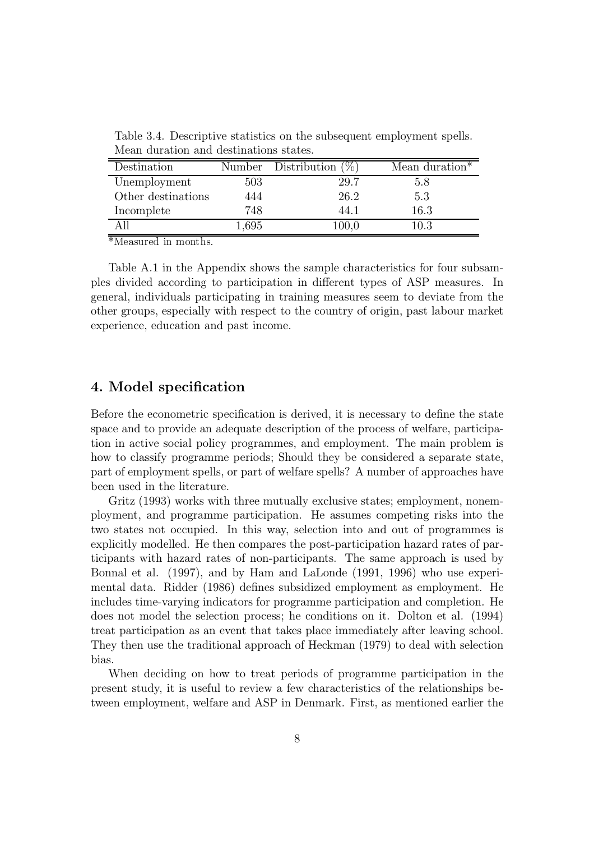| Destination        |       | Number Distribution $(\%)$ | Mean duration* |
|--------------------|-------|----------------------------|----------------|
| Unemployment       | 503   | 29.7                       | 5.8            |
| Other destinations | 444   | 26.2                       | 5.3            |
| Incomplete         | 748   | 44.1                       | 16.3           |
|                    | 1,695 | $100{,}0$                  | 10.3           |

Table 3.4. Descriptive statistics on the subsequent employment spells. Mean duration and destinations states.

 $*$ Measured in months.

Table A.1 in the Appendix shows the sample characteristics for four subsamples divided according to participation in different types of ASP measures. In general, individuals participating in training measures seem to deviate from the other groups, especially with respect to the country of origin, past labour market experience, education and past income.

#### 4. Model specification

Before the econometric specification is derived, it is necessary to define the state space and to provide an adequate description of the process of welfare, participation in active social policy programmes, and employment. The main problem is how to classify programme periods; Should they be considered a separate state, part of employment spells, or part of welfare spells? A number of approaches have been used in the literature.

Gritz (1993) works with three mutually exclusive states; employment, nonemployment, and programme participation. He assumes competing risks into the two states not occupied. In this way, selection into and out of programmes is explicitly modelled. He then compares the post-participation hazard rates of participants with hazard rates of non-participants. The same approach is used by Bonnal et al. (1997), and by Ham and LaLonde (1991, 1996) who use experimental data. Ridder (1986) defines subsidized employment as employment. He includes time-varying indicators for programme participation and completion. He does not model the selection process; he conditions on it. Dolton et al. (1994) treat participation as an event that takes place immediately after leaving school. They then use the traditional approach of Heckman (1979) to deal with selection bias.

When deciding on how to treat periods of programme participation in the present study, it is useful to review a few characteristics of the relationships between employment, welfare and ASP in Denmark. First, as mentioned earlier the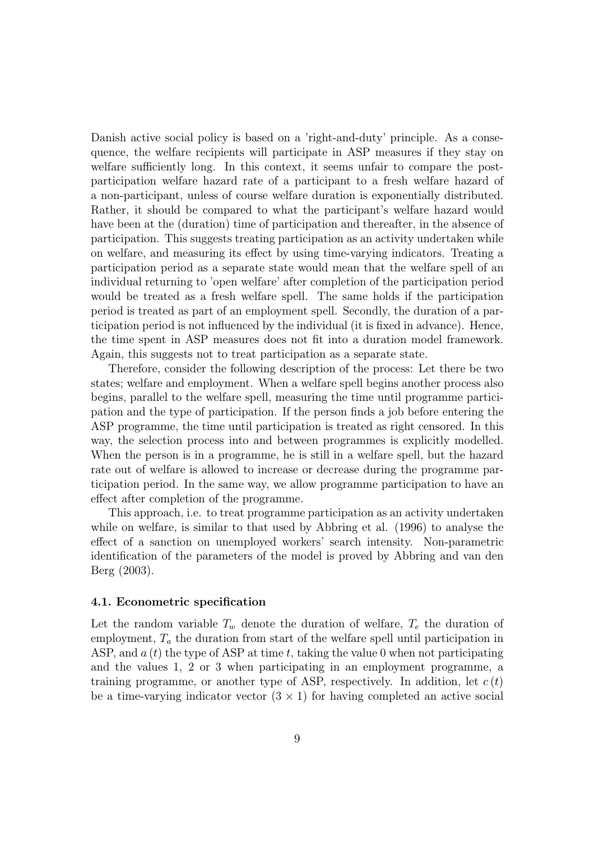Danish active social policy is based on a 'right-and-duty' principle. As a consequence, the welfare recipients will participate in ASP measures if they stay on welfare sufficiently long. In this context, it seems unfair to compare the postparticipation welfare hazard rate of a participant to a fresh welfare hazard of a non-participant, unless of course welfare duration is exponentially distributed. Rather, it should be compared to what the participant's welfare hazard would have been at the (duration) time of participation and thereafter, in the absence of participation. This suggests treating participation as an activity undertaken while on welfare, and measuring its effect by using time-varying indicators. Treating a participation period as a separate state would mean that the welfare spell of an individual returning to 'open welfare' after completion of the participation period would be treated as a fresh welfare spell. The same holds if the participation period is treated as part of an employment spell. Secondly, the duration of a participation period is not influenced by the individual (it is fixed in advance). Hence, the time spent in ASP measures does not fit into a duration model framework. Again, this suggests not to treat participation as a separate state.

Therefore, consider the following description of the process: Let there be two states; welfare and employment. When a welfare spell begins another process also begins, parallel to the welfare spell, measuring the time until programme participation and the type of participation. If the person finds a job before entering the ASP programme, the time until participation is treated as right censored. In this way, the selection process into and between programmes is explicitly modelled. When the person is in a programme, he is still in a welfare spell, but the hazard rate out of welfare is allowed to increase or decrease during the programme participation period. In the same way, we allow programme participation to have an effect after completion of the programme.

This approach, i.e. to treat programme participation as an activity undertaken while on welfare, is similar to that used by Abbring et al. (1996) to analyse the effect of a sanction on unemployed workers' search intensity. Non-parametric identification of the parameters of the model is proved by Abbring and van den  $Berg (2003).$ 

#### 4.1. Econometric specification

Let the random variable  $T_w$  denote the duration of welfare,  $T_e$  the duration of employment,  $T_a$  the duration from start of the welfare spell until participation in ASP, and  $a(t)$  the type of ASP at time t, taking the value 0 when not participating and the values 1, 2 or 3 when participating in an employment programme, a training programme, or another type of ASP, respectively. In addition, let  $c(t)$ be a time-varying indicator vector  $(3 \times 1)$  for having completed an active social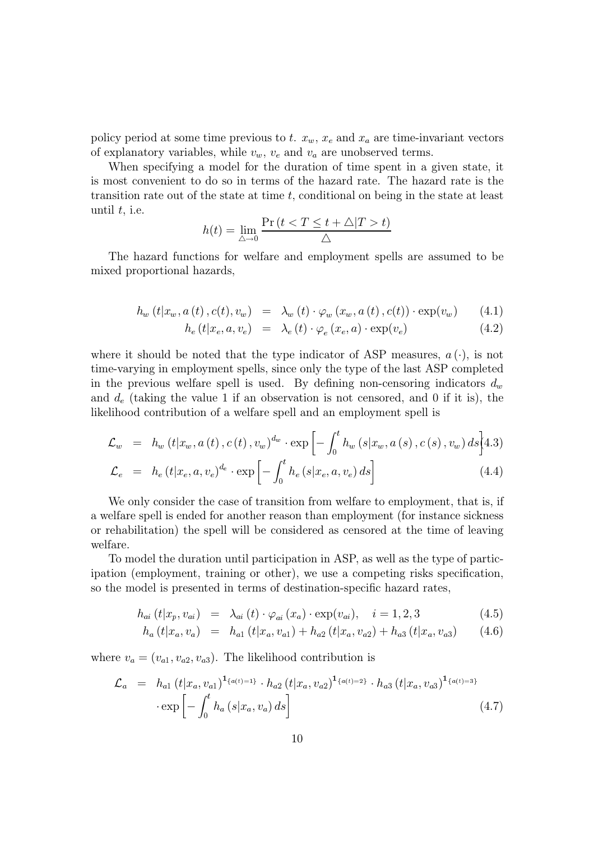policy period at some time previous to t.  $x_w$ ,  $x_e$  and  $x_a$  are time-invariant vectors of explanatory variables, while  $v_w$ ,  $v_e$  and  $v_a$  are unobserved terms.

When specifying a model for the duration of time spent in a given state, it is most convenient to do so in terms of the hazard rate. The hazard rate is the transition rate out of the state at time  $t$ , conditional on being in the state at least until  $t$ , i.e.

$$
h(t) = \lim_{\triangle \to 0} \frac{\Pr(t < T \le t + \triangle | T > t)}{\triangle}
$$

The hazard functions for welfare and employment spells are assumed to be mixed proportional hazards,

$$
h_w(t|x_w, a(t), c(t), v_w) = \lambda_w(t) \cdot \varphi_w(x_w, a(t), c(t)) \cdot \exp(v_w) \qquad (4.1)
$$

$$
h_e(t|x_e, a, v_e) = \lambda_e(t) \cdot \varphi_e(x_e, a) \cdot \exp(v_e)
$$
\n(4.2)

where it should be noted that the type indicator of ASP measures,  $a(\cdot)$ , is not time-varying in employment spells, since only the type of the last ASP completed in the previous welfare spell is used. By defining non-censoring indicators  $d_w$ and  $d_e$  (taking the value 1 if an observation is not censored, and 0 if it is), the likelihood contribution of a welfare spell and an employment spell is

$$
\mathcal{L}_{w} = h_{w}(t|x_{w}, a(t), c(t), v_{w})^{d_{w}} \cdot \exp\left[-\int_{0}^{t} h_{w}(s|x_{w}, a(s), c(s), v_{w}) ds\right]
$$

$$
\mathcal{L}_e = h_e(t|x_e, a, v_e)^{d_e} \cdot \exp\left[-\int_0^t h_e(s|x_e, a, v_e) ds\right]
$$
\n(4.4)

We only consider the case of transition from welfare to employment, that is, if a welfare spell is ended for another reason than employment (for instance sickness or rehabilitation) the spell will be considered as censored at the time of leaving welfare.

To model the duration until participation in ASP, as well as the type of participation (employment, training or other), we use a competing risks specification, so the model is presented in terms of destination-specific hazard rates,

$$
h_{ai}(t|x_p, v_{ai}) = \lambda_{ai}(t) \cdot \varphi_{ai}(x_a) \cdot \exp(v_{ai}), \quad i = 1, 2, 3 \tag{4.5}
$$

$$
h_a(t|x_a, v_a) = h_{a1}(t|x_a, v_{a1}) + h_{a2}(t|x_a, v_{a2}) + h_{a3}(t|x_a, v_{a3}) \qquad (4.6)
$$

where  $v_a = (v_{a1}, v_{a2}, v_{a3})$ . The likelihood contribution is

$$
\mathcal{L}_a = h_{a1} (t | x_a, v_{a1})^{1_{\{a(t) = 1\}}}\cdot h_{a2} (t | x_a, v_{a2})^{1_{\{a(t) = 2\}}}\cdot h_{a3} (t | x_a, v_{a3})^{1_{\{a(t) = 3\}}}
$$

$$
\cdot \exp \left[ -\int_0^t h_a (s | x_a, v_a) ds \right]
$$
(4.7)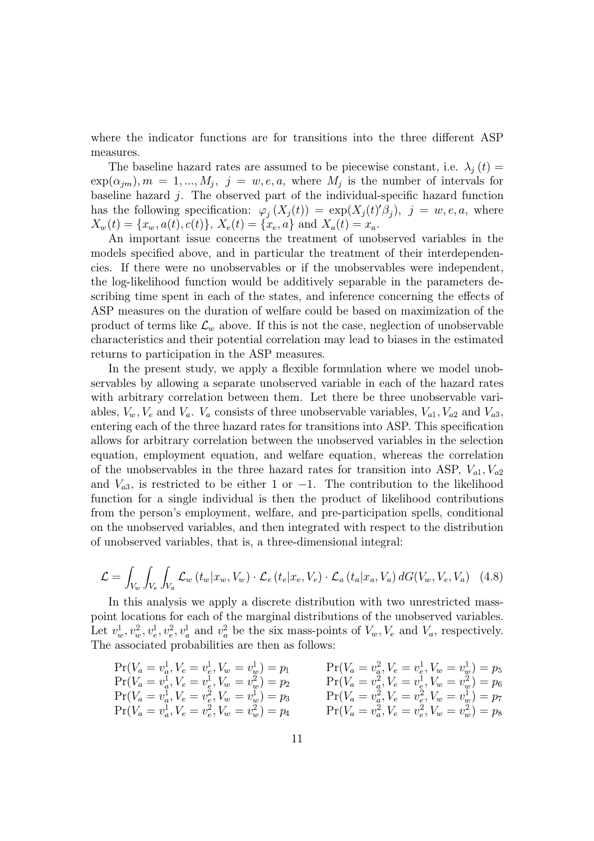where the indicator functions are for transitions into the three different ASP measures.

The baseline hazard rates are assumed to be piecewise constant, i.e.  $\lambda_j(t)$  $\exp(\alpha_{jm}), m = 1, ..., M_j, j = w, e, a$ , where  $M_j$  is the number of intervals for baseline hazard  $j$ . The observed part of the individual-specific hazard function has the following specification:  $\varphi_i(X_i(t)) = \exp(X_i(t)'\beta_i), \ j = w, e, a$ , where  $X_w(t) = \{x_w, a(t), c(t)\}, X_e(t) = \{x_e, a\}$  and  $X_a(t) = x_a$ .

An important issue concerns the treatment of unobserved variables in the models specified above, and in particular the treatment of their interdependencies. If there were no unobservables or if the unobservables were independent, the log-likelihood function would be additively separable in the parameters describing time spent in each of the states, and inference concerning the effects of ASP measures on the duration of welfare could be based on maximization of the product of terms like  $\mathcal{L}_w$  above. If this is not the case, neglection of unobservable characteristics and their potential correlation may lead to biases in the estimated returns to participation in the ASP measures.

In the present study, we apply a flexible formulation where we model unobservables by allowing a separate unobserved variable in each of the hazard rates with arbitrary correlation between them. Let there be three unobservable variables,  $V_w, V_e$  and  $V_a$ .  $V_a$  consists of three unobservable variables,  $V_{a1}$ ,  $V_{a2}$  and  $V_{a3}$ , entering each of the three hazard rates for transitions into ASP. This specification allows for arbitrary correlation between the unobserved variables in the selection equation, employment equation, and welfare equation, whereas the correlation of the unobservables in the three hazard rates for transition into ASP,  $V_{a1}$ ,  $V_{a2}$ and  $V_{a3}$ , is restricted to be either 1 or -1. The contribution to the likelihood function for a single individual is then the product of likelihood contributions from the person's employment, welfare, and pre-participation spells, conditional on the unobserved variables, and then integrated with respect to the distribution of unobserved variables, that is, a three-dimensional integral:

$$
\mathcal{L} = \int_{V_w} \int_{V_e} \int_{V_a} \mathcal{L}_w(t_w | x_w, V_w) \cdot \mathcal{L}_e(t_e | x_e, V_e) \cdot \mathcal{L}_a(t_a | x_a, V_a) dG(V_w, V_e, V_a) \quad (4.8)
$$

In this analysis we apply a discrete distribution with two unrestricted masspoint locations for each of the marginal distributions of the unobserved variables. Let  $v_w^1, v_w^2, v_e^1, v_e^2, v_a^1$  and  $v_a^2$  be the six mass-points of  $V_w, V_e$  and  $V_a$ , respectively. The associated probabilities are then as follows:

$$
\Pr(V_a = v_a^1, V_e = v_e^1, V_w = v_w^1) = p_1
$$
\n
$$
\Pr(V_a = v_a^1, V_e = v_e^1, V_w = v_w^2) = p_2
$$
\n
$$
\Pr(V_a = v_a^1, V_e = v_e^2, V_w = v_w^1) = p_3
$$
\n
$$
\Pr(V_a = v_a^1, V_e = v_e^2, V_w = v_w^1) = p_3
$$
\n
$$
\Pr(V_a = v_a^1, V_e = v_e^2, V_w = v_w^1) = p_4
$$
\n
$$
\Pr(V_a = v_a^2, V_e = v_e^2, V_w = v_w^1) = p_5
$$
\n
$$
\Pr(V_a = v_a^2, V_e = v_e^2, V_w = v_w^1) = p_7
$$
\n
$$
\Pr(V_a = v_a^2, V_e = v_e^2, V_w = v_w^1) = p_8
$$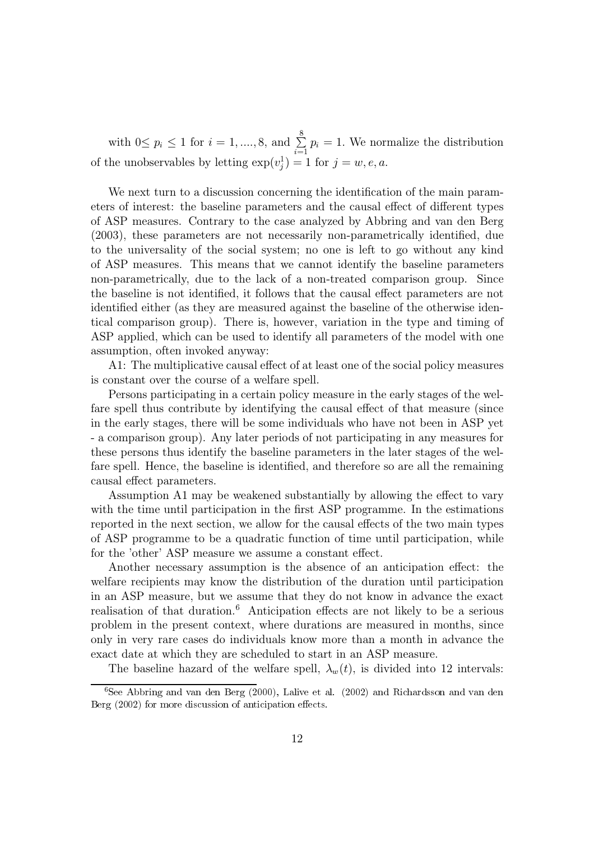with  $0 \le p_i \le 1$  for  $i = 1, ..., 8$ , and  $\sum_{i=1}^{8} p_i = 1$ . We normalize the distribution of the unobservables by letting  $\exp(v_i^1) = 1$  for  $j = w, e, a$ .

We next turn to a discussion concerning the identification of the main parameters of interest: the baseline parameters and the causal effect of different types of ASP measures. Contrary to the case analyzed by Abbring and van den Berg (2003), these parameters are not necessarily non-parametrically identified, due to the universality of the social system; no one is left to go without any kind of ASP measures. This means that we cannot identify the baseline parameters non-parametrically, due to the lack of a non-treated comparison group. Since the baseline is not identified, it follows that the causal effect parameters are not identified either (as they are measured against the baseline of the otherwise identical comparison group). There is, however, variation in the type and timing of ASP applied, which can be used to identify all parameters of the model with one assumption, often invoked anyway:

A1: The multiplicative causal effect of at least one of the social policy measures is constant over the course of a welfare spell.

Persons participating in a certain policy measure in the early stages of the welfare spell thus contribute by identifying the causal effect of that measure (since in the early stages, there will be some individuals who have not been in ASP yet - a comparison group). Any later periods of not participating in any measures for these persons thus identify the baseline parameters in the later stages of the welfare spell. Hence, the baseline is identified, and therefore so are all the remaining causal effect parameters.

Assumption A1 may be weakened substantially by allowing the effect to vary with the time until participation in the first ASP programme. In the estimations reported in the next section, we allow for the causal effects of the two main types of ASP programme to be a quadratic function of time until participation, while for the 'other' ASP measure we assume a constant effect.

Another necessary assumption is the absence of an anticipation effect: the welfare recipients may know the distribution of the duration until participation in an ASP measure, but we assume that they do not know in advance the exact realisation of that duration.<sup>6</sup> Anticipation effects are not likely to be a serious problem in the present context, where durations are measured in months, since only in very rare cases do individuals know more than a month in advance the exact date at which they are scheduled to start in an ASP measure.

The baseline hazard of the welfare spell,  $\lambda_w(t)$ , is divided into 12 intervals:

<sup>&</sup>lt;sup>6</sup>See Abbring and van den Berg (2000), Lalive et al. (2002) and Richardsson and van den Berg (2002) for more discussion of anticipation effects.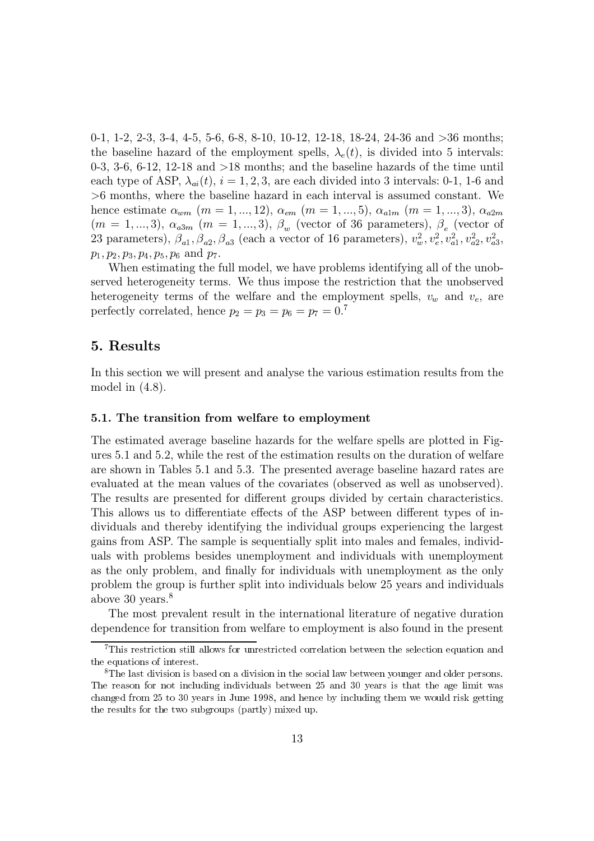0-1, 1-2, 2-3, 3-4, 4-5, 5-6, 6-8, 8-10, 10-12, 12-18, 18-24, 24-36 and  $>36$  months; the baseline hazard of the employment spells,  $\lambda_e(t)$ , is divided into 5 intervals: 0-3, 3-6, 6-12, 12-18 and  $>18$  months; and the baseline hazards of the time until each type of ASP,  $\lambda_{ai}(t)$ ,  $i = 1, 2, 3$ , are each divided into 3 intervals: 0-1, 1-6 and  $>6$  months, where the baseline hazard in each interval is assumed constant. We hence estimate  $\alpha_{wm}$  ( $m = 1, ..., 12$ ),  $\alpha_{em}$  ( $m = 1, ..., 5$ ),  $\alpha_{a1m}$  ( $m = 1, ..., 3$ ),  $\alpha_{a2m}$  $(m = 1, ..., 3), \alpha_{a3m}$   $(m = 1, ..., 3), \beta_w$  (vector of 36 parameters),  $\beta_e$  (vector of 23 parameters),  $\beta_{a1}, \beta_{a2}, \beta_{a3}$  (each a vector of 16 parameters),  $v_w^2, v_e^2, v_{a1}^2, v_{a2}^2, v_{a3}^2$ ,  $p_1, p_2, p_3, p_4, p_5, p_6$  and  $p_7$ .

When estimating the full model, we have problems identifying all of the unobserved heterogeneity terms. We thus impose the restriction that the unobserved heterogeneity terms of the welfare and the employment spells,  $v_w$  and  $v_e$ , are perfectly correlated, hence  $p_2 = p_3 = p_6 = p_7 = 0.^7$ 

#### 5. Results

In this section we will present and analyse the various estimation results from the model in  $(4.8)$ .

#### 5.1. The transition from welfare to employment

The estimated average baseline hazards for the welfare spells are plotted in Figures 5.1 and 5.2, while the rest of the estimation results on the duration of welfare are shown in Tables 5.1 and 5.3. The presented average baseline hazard rates are evaluated at the mean values of the covariates (observed as well as unobserved). The results are presented for different groups divided by certain characteristics. This allows us to differentiate effects of the ASP between different types of individuals and thereby identifying the individual groups experiencing the largest gains from ASP. The sample is sequentially split into males and females, individuals with problems besides unemployment and individuals with unemployment as the only problem, and finally for individuals with unemployment as the only problem the group is further split into individuals below 25 years and individuals above 30 years. $8$ 

The most prevalent result in the international literature of negative duration dependence for transition from welfare to employment is also found in the present

 ${}^{7}$ This restriction still allows for unrestricted correlation between the selection equation and the equations of interest.

<sup>&</sup>lt;sup>8</sup>The last division is based on a division in the social law between younger and older persons. The reason for not including individuals between 25 and 30 years is that the age limit was changed from 25 to 30 years in June 1998, and hence by including them we would risk getting the results for the two subgroups (partly) mixed up.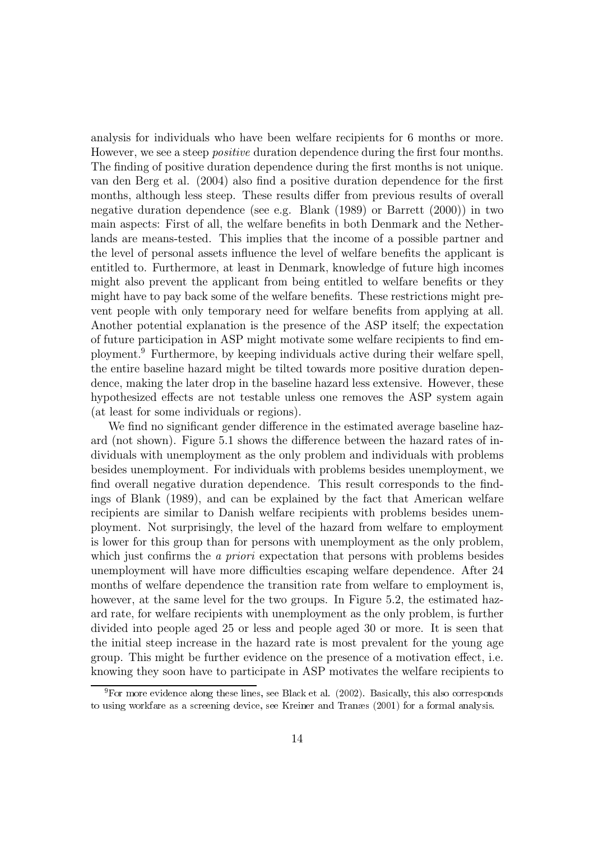analysis for individuals who have been welfare recipients for 6 months or more. However, we see a steep *positive* duration dependence during the first four months. The finding of positive duration dependence during the first months is not unique. van den Berg et al. (2004) also find a positive duration dependence for the first months, although less steep. These results differ from previous results of overall negative duration dependence (see e.g. Blank (1989) or Barrett (2000)) in two main aspects: First of all, the welfare benefits in both Denmark and the Netherlands are means-tested. This implies that the income of a possible partner and the level of personal assets influence the level of welfare benefits the applicant is entitled to. Furthermore, at least in Denmark, knowledge of future high incomes might also prevent the applicant from being entitled to welfare benefits or they might have to pay back some of the welfare benefits. These restrictions might prevent people with only temporary need for welfare benefits from applying at all. Another potential explanation is the presence of the ASP itself; the expectation of future participation in ASP might motivate some welfare recipients to find employment.<sup>9</sup> Furthermore, by keeping individuals active during their welfare spell, the entire baseline hazard might be tilted towards more positive duration dependence, making the later drop in the baseline hazard less extensive. However, these hypothesized effects are not testable unless one removes the ASP system again (at least for some individuals or regions).

We find no significant gender difference in the estimated average baseline hazard (not shown). Figure 5.1 shows the difference between the hazard rates of individuals with unemployment as the only problem and individuals with problems besides unemployment. For individuals with problems besides unemployment, we find overall negative duration dependence. This result corresponds to the findings of Blank (1989), and can be explained by the fact that American welfare recipients are similar to Danish welfare recipients with problems besides unemployment. Not surprisingly, the level of the hazard from welfare to employment is lower for this group than for persons with unemployment as the only problem, which just confirms the *a priori* expectation that persons with problems besides unemployment will have more difficulties escaping welfare dependence. After 24 months of welfare dependence the transition rate from welfare to employment is, however, at the same level for the two groups. In Figure 5.2, the estimated hazard rate, for welfare recipients with unemployment as the only problem, is further divided into people aged 25 or less and people aged 30 or more. It is seen that the initial steep increase in the hazard rate is most prevalent for the young age group. This might be further evidence on the presence of a motivation effect, i.e. knowing they soon have to participate in ASP motivates the welfare recipients to

 $9$ For more evidence along these lines, see Black et al. (2002). Basically, this also corresponds to using workfare as a screening device, see Kreiner and Transes (2001) for a formal analysis.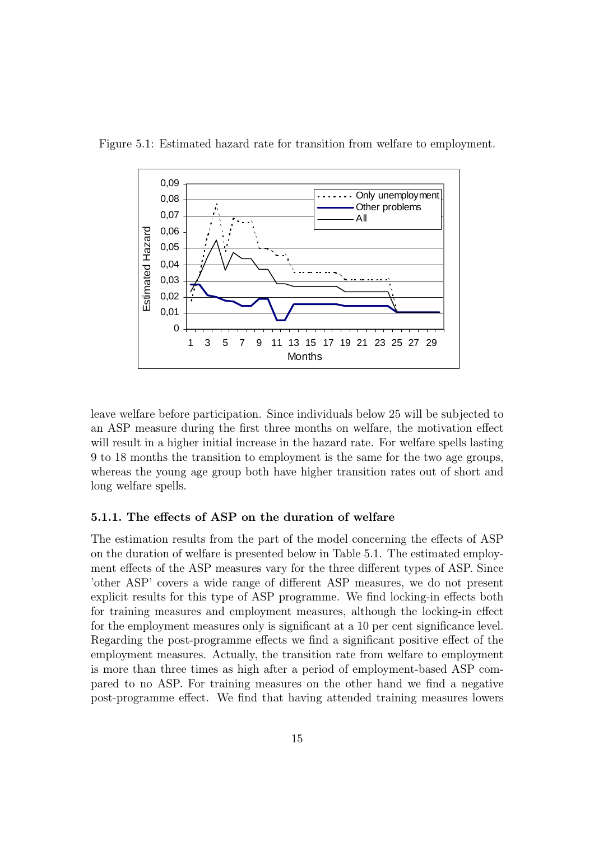

Figure 5.1: Estimated hazard rate for transition from welfare to employment.

 $\alpha$  leave welfare before participation. Since individuals below 25 will be subjected to an ASP measure during the first three months on welfare, the motivation effect will result in a higher initial increase in the hazard rate. For welfare spells lasting  $9 \text{ to } 18$  months the transition to employment is the same for the two age groups. whereas the voung age group both have higher transition rates out of short and long welfare spells.

#### 5.1.1. The effects of ASP on the duration of welfare

The estimation results from the part of the model concerning the effects of ASP on the duration of welfare is presented below in Table 5.1. The estimated employment effects of the ASP measures vary for the three different types of ASP. Since 'other ASP' covers a wide range of different ASP measures, we do not present explicit results for this type of ASP programme. We find locking-in effects both for training measures and employment measures, although the locking-in effect for the employment measures only is significant at a 10 per cent significance level. Regarding the post-programme effects we find a significant positive effect of the employment measures. Actually, the transition rate from welfare to employment is more than three times as high after a period of employment-based ASP compared to no ASP. For training measures on the other hand we find a negative bost-programme effect. We find that having attended training measures lowers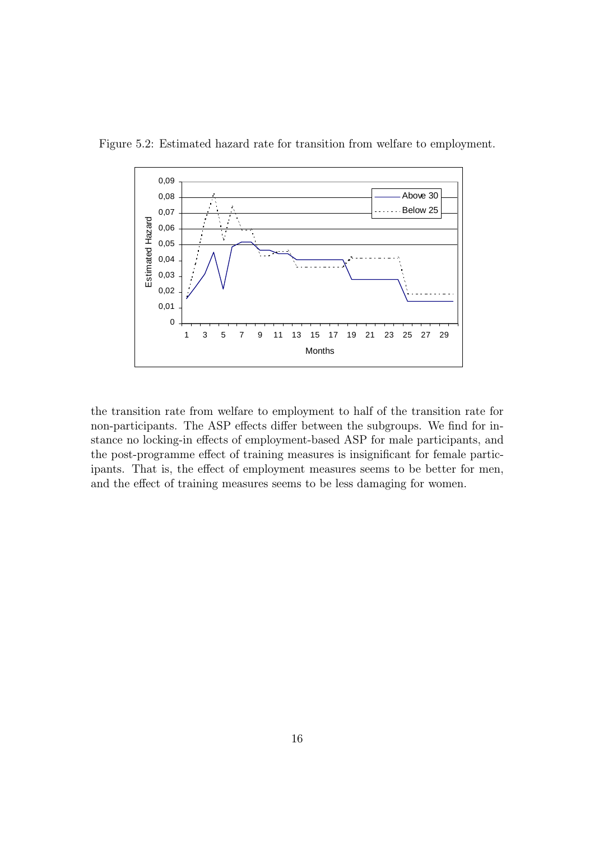

Figure 5.2: Estimated hazard rate for transition from welfare to employment.

the transition rate from welfare to employment to half of the transition rate for non-participants. The ASP effects differ between the subgroups. We find for instance no locking-in effects of employment-based ASP for male participants, and the post-programme effect of training measures is insignificant for female participants. That is, the effect of employment measures seems to be better for men. and the effect of training measures seems to be less damaging for women.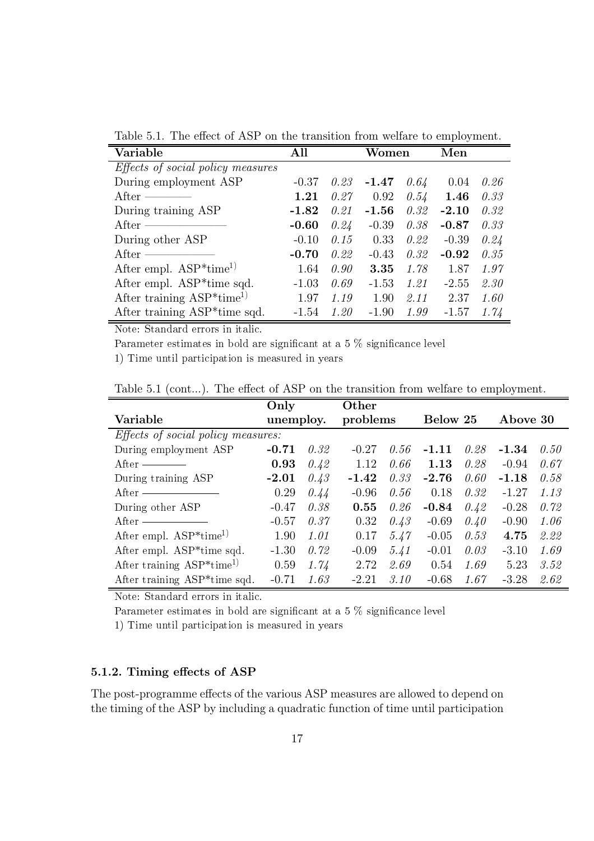Table 5.1. The effect of ASP on the transition from welfare to employment.

| Variable                                  | All     | Women |         |      | Men     |      |
|-------------------------------------------|---------|-------|---------|------|---------|------|
| <i>Effects of social policy measures</i>  |         |       |         |      |         |      |
| During employment ASP                     | $-0.37$ | 0.23  | $-1.47$ | 0.64 | 0.04    | 0.26 |
| After $-$                                 | 1.21    | 0.27  | 0.92    | 0.54 | 1.46    | 0.33 |
| During training ASP                       | $-1.82$ | 0.21  | $-1.56$ | 0.32 | $-2.10$ | 0.32 |
| After $=$                                 | $-0.60$ | 0.24  | $-0.39$ | 0.38 | $-0.87$ | 0.33 |
| During other ASP                          | $-0.10$ | 0.15  | 0.33    | 0.22 | $-0.39$ | 0.24 |
| After $-$                                 | $-0.70$ | 0.22  | $-0.43$ | 0.32 | $-0.92$ | 0.35 |
| After empl. $ASP*time^{1}$                | 1.64    | 0.90  | 3.35    | 1.78 | 1.87    | 1.97 |
| After empl. ASP*time sqd.                 | $-1.03$ | 0.69  | $-1.53$ | 1.21 | $-2.55$ | 2.30 |
| After training $ASP^*time^{1}$            | 1.97    | 1.19  | 1.90    | 2.11 | 2.37    | 1.60 |
| After training ASP <sup>*</sup> time sqd. | $-1.54$ | 1.20  | $-1.90$ | 1.99 | $-1.57$ | 1.74 |

Note: Standard errors in italic.

Parameter estimates in bold are significant at a 5 % significance level

1) Time until participation is measured in years

Table 5.1 (cont...). The effect of ASP on the transition from welfare to employment.

|                                           | Only      |      | Other    |      |          |      |          |      |
|-------------------------------------------|-----------|------|----------|------|----------|------|----------|------|
| Variable                                  | unemploy. |      | problems |      | Below 25 |      | Above 30 |      |
| Effects of social policy measures:        |           |      |          |      |          |      |          |      |
| During employment ASP                     | $-0.71$   | 0.32 | $-0.27$  | 0.56 | $-1.11$  | 0.28 | $-1.34$  | 0.50 |
| $After -$                                 | 0.93      | 0.42 | 1.12     | 0.66 | 1.13     | 0.28 | $-0.94$  | 0.67 |
| During training ASP                       | $-2.01$   | 0.43 | $-1.42$  | 0.33 | $-2.76$  | 0.60 | $-1.18$  | 0.58 |
| After ———————                             | 0.29      | 0.44 | $-0.96$  | 0.56 | 0.18     | 0.32 | $-1.27$  | 1.13 |
| During other ASP                          | $-0.47$   | 0.38 | 0.55     | 0.26 | $-0.84$  | 0.42 | $-0.28$  | 0.72 |
| $After -$                                 | $-0.57$   | 0.37 | 0.32     | 0.43 | $-0.69$  | 0.40 | $-0.90$  | 1.06 |
| After empl. $ASP*time1$                   | 1.90      | 1.01 | 0.17     | 5.47 | $-0.05$  | 0.53 | 4.75     | 2.22 |
| After empl. ASP*time sqd.                 | $-1.30$   | 0.72 | $-0.09$  | 5.41 | $-0.01$  | 0.03 | $-3.10$  | 1.69 |
| After training $ASP*time1$                | 0.59      | 1.74 | 2.72     | 2.69 | 0.54     | 1.69 | 5.23     | 3.52 |
| After training ASP <sup>*</sup> time sqd. | $-0.71$   | 1.63 | $-2.21$  | 3.10 | $-0.68$  | 1.67 | $-3.28$  | 2.62 |

Note: Standard errors in italic.

Parameter estimates in bold are significant at a 5 % significance level

1) Time until participation is measured in years

#### 5.1.2. Timing effects of ASP

The post-programme effects of the various ASP measures are allowed to depend on the timing of the ASP by including a quadratic function of time until participation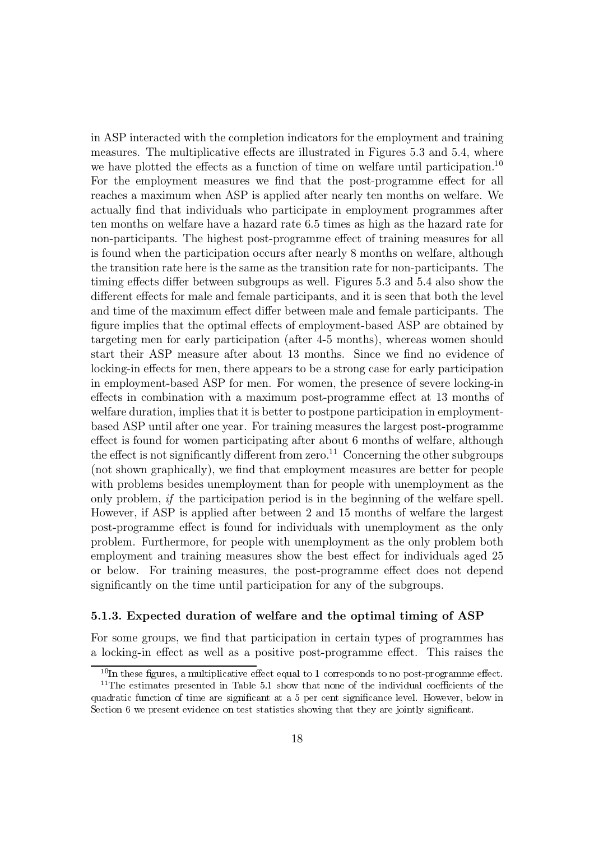in ASP interacted with the completion indicators for the employment and training measures. The multiplicative effects are illustrated in Figures 5.3 and 5.4, where we have plotted the effects as a function of time on welfare until participation.<sup>10</sup> For the employment measures we find that the post-programme effect for all reaches a maximum when ASP is applied after nearly ten months on welfare. We actually find that individuals who participate in employment programmes after ten months on welfare have a hazard rate 6.5 times as high as the hazard rate for non-participants. The highest post-programme effect of training measures for all is found when the participation occurs after nearly 8 months on welfare, although the transition rate here is the same as the transition rate for non-participants. The timing effects differ between subgroups as well. Figures 5.3 and 5.4 also show the different effects for male and female participants, and it is seen that both the level and time of the maximum effect differ between male and female participants. The figure implies that the optimal effects of employment-based ASP are obtained by targeting men for early participation (after 4-5 months), whereas women should start their ASP measure after about 13 months. Since we find no evidence of locking-in effects for men, there appears to be a strong case for early participation in employment-based ASP for men. For women, the presence of severe locking-in effects in combination with a maximum post-programme effect at 13 months of welfare duration, implies that it is better to postpone participation in employmentbased ASP until after one year. For training measures the largest post-programme effect is found for women participating after about 6 months of welfare, although the effect is not significantly different from zero.<sup>11</sup> Concerning the other subgroups (not shown graphically), we find that employment measures are better for people with problems besides unemployment than for people with unemployment as the only problem, if the participation period is in the beginning of the welfare spell. However, if ASP is applied after between 2 and 15 months of welfare the largest post-programme effect is found for individuals with unemployment as the only problem. Furthermore, for people with unemployment as the only problem both employment and training measures show the best effect for individuals aged 25 or below. For training measures, the post-programme effect does not depend significantly on the time until participation for any of the subgroups.

#### 5.1.3. Expected duration of welfare and the optimal timing of ASP

For some groups, we find that participation in certain types of programmes has a locking-in effect as well as a positive post-programme effect. This raises the

 $10$ In these figures, a multiplicative effect equal to 1 corresponds to no post-programme effect.

<sup>&</sup>lt;sup>11</sup>The estimates presented in Table 5.1 show that none of the individual coefficients of the quadratic function of time are significant at a 5 per cent significance level. However, below in Section 6 we present evidence on test statistics showing that they are jointly significant.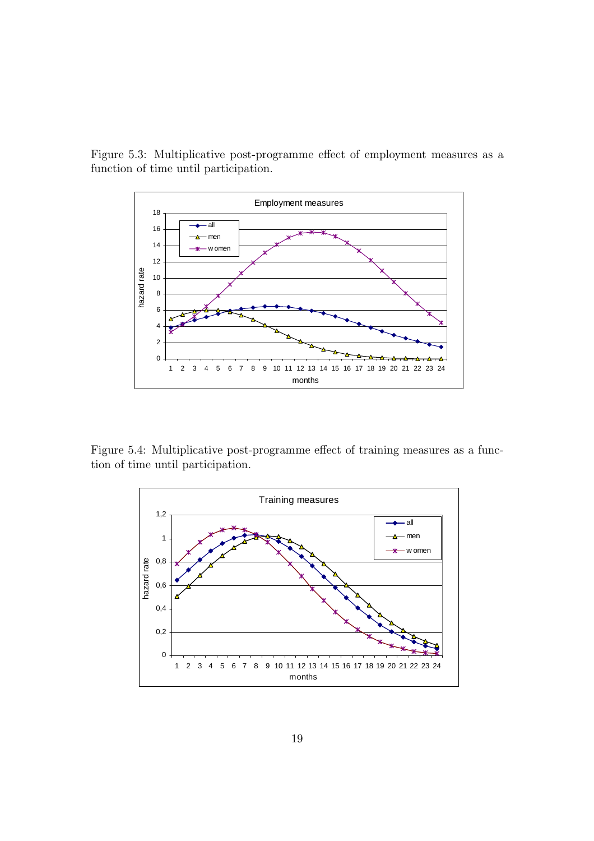Figure 5.3: Multiplicative post-programme effect of employment measures as a function of time until participation.



Figure 5.4: Multiplicative post-programme effect of training measures as a function of time until participation.

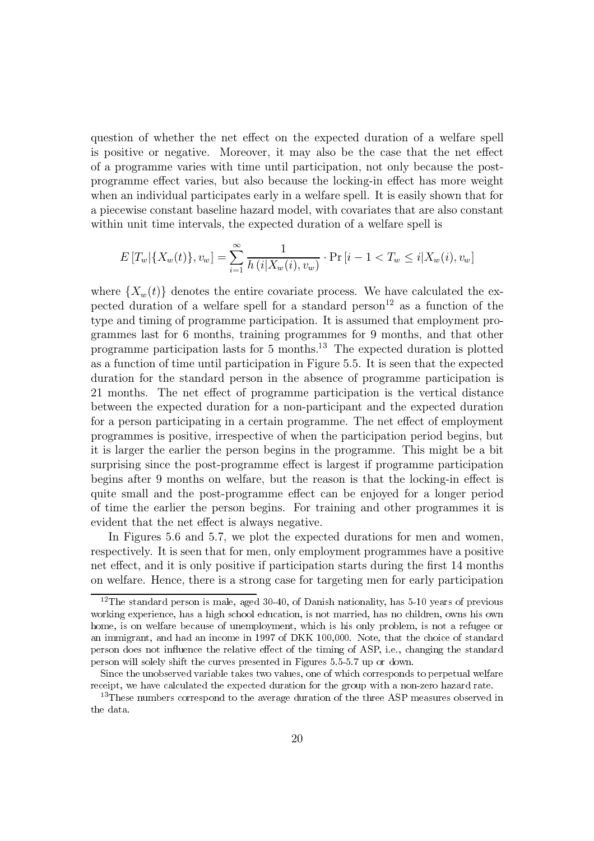question of whether the net effect on the expected duration of a welfare spell is positive or negative. Moreover, it may also be the case that the net effect of a programme varies with time until participation, not only because the postprogramme effect varies, but also because the locking-in effect has more weight when an individual participates early in a welfare spell. It is easily shown that for a piecewise constant baseline hazard model, with covariates that are also constant within unit time intervals, the expected duration of a welfare spell is

$$
E[T_w|\{X_w(t)\}, v_w] = \sum_{i=1}^{\infty} \frac{1}{h(i|X_w(i), v_w)} \cdot \Pr[i-1 < T_w \leq i | X_w(i), v_w]
$$

where  $\{X_w(t)\}\$  denotes the entire covariate process. We have calculated the expected duration of a welfare spell for a standard person<sup>12</sup> as a function of the type and timing of programme participation. It is assumed that employment programmes last for 6 months, training programmes for 9 months, and that other programme participation lasts for 5 months.<sup>13</sup> The expected duration is plotted as a function of time until participation in Figure 5.5. It is seen that the expected duration for the standard person in the absence of programme participation is 21 months. The net effect of programme participation is the vertical distance between the expected duration for a non-participant and the expected duration for a person participating in a certain programme. The net effect of employment programmes is positive, irrespective of when the participation period begins, but it is larger the earlier the person begins in the programme. This might be a bit surprising since the post-programme effect is largest if programme participation begins after 9 months on welfare, but the reason is that the locking-in effect is quite small and the post-programme effect can be enjoyed for a longer period of time the earlier the person begins. For training and other programmes it is evident that the net effect is always negative.

In Figures 5.6 and 5.7, we plot the expected durations for men and women, respectively. It is seen that for men, only employment programmes have a positive net effect, and it is only positive if participation starts during the first 14 months on welfare. Hence, there is a strong case for targeting men for early participation

 $12$ The standard person is male, aged 30-40, of Danish nationality, has 5-10 years of previous working experience, has a high school education, is not married, has no children, owns his own home, is on welfare because of unemployment, which is his only problem, is not a refugee or an immigrant, and had an income in 1997 of DKK 100,000. Note, that the choice of standard person does not influence the relative effect of the timing of ASP, i.e., changing the standard person will solely shift the curves presented in Figures 5.5-5.7 up or down.

Since the unobserved variable takes two values, one of which corresponds to perpetual welfare receipt, we have calculated the expected duration for the group with a non-zero hazard rate.

<sup>&</sup>lt;sup>13</sup>These numbers correspond to the average duration of the three ASP measures observed in the data.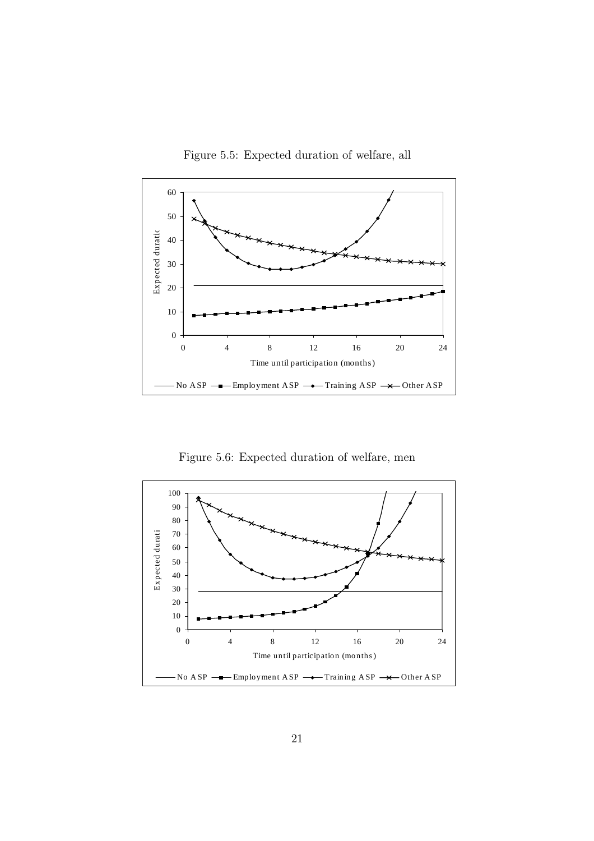Figure 5.5: Expected duration of welfare, all



Figure 5.6: Expected duration of welfare, men

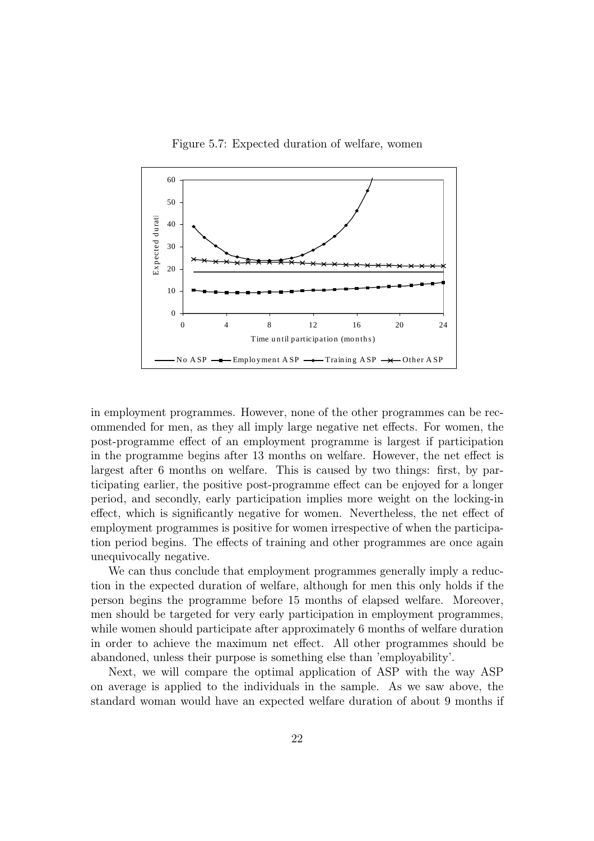Figure 5.7: Expected duration of welfare, women



in employment programmes. However, none of the other programmes can be recommended for men, as they all imply large negative net effects. For women, the post-programme effect of an employment programme is largest if participation in the programme begins after 13 months on welfare. However, the net effect is largest after 6 months on welfare. This is caused by two things: first, by participating earlier, the positive post-programme effect can be enjoyed for a longer period, and secondly, early participation implies more weight on the locking-in effect, which is significantly negative for women. Nevertheless, the net effect of employment programmes is positive for women irrespective of when the participation period begins. The effects of training and other programmes are once again unequivocally negative.

We can thus conclude that employment programmes generally imply a reduction in the expected duration of welfare, although for men this only holds if the person begins the programme before 15 months of elapsed welfare. Moreover, men should be targeted for very early participation in employment programmes, while women should participate after approximately 6 months of welfare duration in order to achieve the maximum net effect. All other programmes should be abandoned, unless their purpose is something else than 'employability'.

Next, we will compare the optimal application of ASP with the way ASP on average is applied to the individuals in the sample. As we saw above, the standard woman would have an expected welfare duration of about 9 months if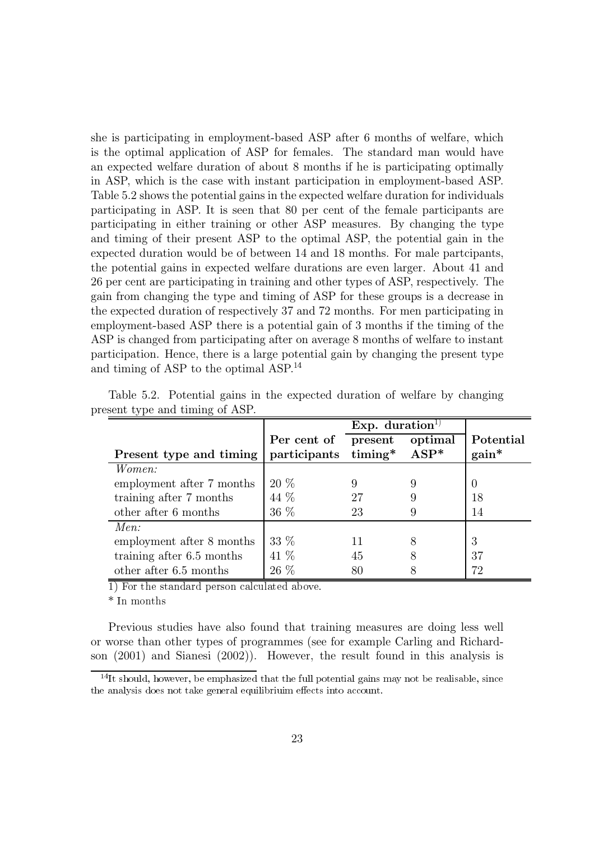she is participating in employment-based ASP after 6 months of welfare, which is the optimal application of ASP for females. The standard man would have an expected welfare duration of about 8 months if he is participating optimally in ASP, which is the case with instant participation in employment-based ASP. Table 5.2 shows the potential gains in the expected welfare duration for individuals participating in ASP. It is seen that 80 per cent of the female participants are participating in either training or other ASP measures. By changing the type and timing of their present ASP to the optimal ASP, the potential gain in the expected duration would be of between 14 and 18 months. For male partcipants, the potential gains in expected welfare durations are even larger. About 41 and 26 per cent are participating in training and other types of ASP, respectively. The gain from changing the type and timing of ASP for these groups is a decrease in the expected duration of respectively 37 and 72 months. For men participating in employment-based ASP there is a potential gain of 3 months if the timing of the ASP is changed from participating after on average 8 months of welfare to instant participation. Hence, there is a large potential gain by changing the present type and timing of ASP to the optimal ASP.<sup>14</sup>

|                           | Per cent of present       |    | optimal | Potential |
|---------------------------|---------------------------|----|---------|-----------|
| Present type and timing   | participants timing* ASP* |    |         | $gain^*$  |
| <i>Women:</i>             |                           |    |         |           |
| employment after 7 months | $20\%$                    |    |         | $\cup$    |
| training after 7 months   | 44 %                      | 27 | 9       | 18        |
| other after 6 months      | 36 %                      | 23 | 9       | 14        |
| Men:                      |                           |    |         |           |
| employment after 8 months | 33 %                      | 11 | 8       | 3         |
| training after 6.5 months | 41 %                      | 45 | 8       | 37        |
| other after 6.5 months    | 26 %                      | 80 | 8       | 72        |

Table 5.2. Potential gains in the expected duration of welfare by changing present type and timing of ASP.

1) For the standard person calculated above.

 $*$  In months

Previous studies have also found that training measures are doing less well or worse than other types of programmes (see for example Carling and Richardson  $(2001)$  and Sianesi  $(2002)$ ). However, the result found in this analysis is

 $14$ It should, however, be emphasized that the full potential gains may not be realisable, since the analysis does not take general equilibrium effects into account.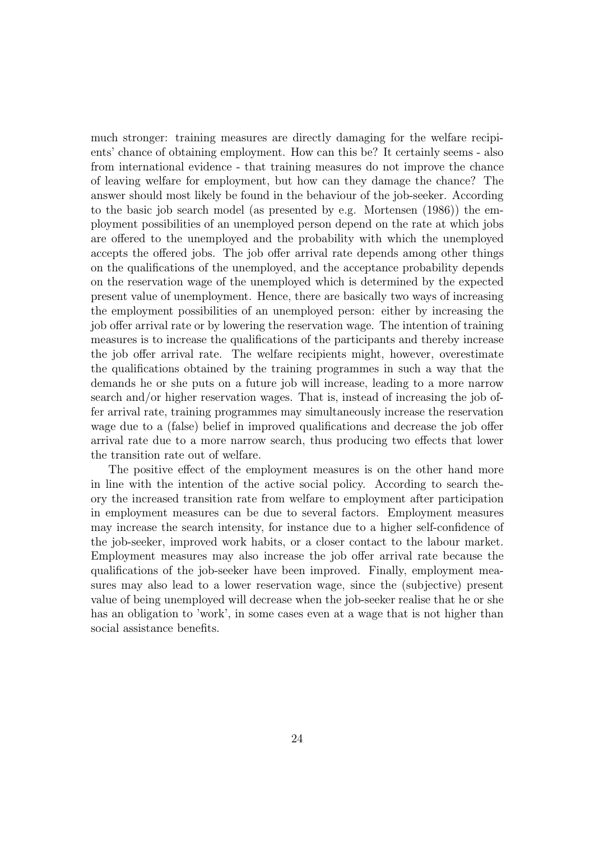much stronger: training measures are directly damaging for the welfare recipients' chance of obtaining employment. How can this be? It certainly seems - also from international evidence - that training measures do not improve the chance of leaving welfare for employment, but how can they damage the chance? The answer should most likely be found in the behaviour of the job-seeker. According to the basic job search model (as presented by e.g. Mortensen (1986)) the employment possibilities of an unemployed person depend on the rate at which jobs are offered to the unemployed and the probability with which the unemployed accepts the offered jobs. The job offer arrival rate depends among other things on the qualifications of the unemployed, and the acceptance probability depends on the reservation wage of the unemployed which is determined by the expected present value of unemployment. Hence, there are basically two ways of increasing the employment possibilities of an unemployed person: either by increasing the job offer arrival rate or by lowering the reservation wage. The intention of training measures is to increase the qualifications of the participants and thereby increase the job offer arrival rate. The welfare recipients might, however, overestimate the qualifications obtained by the training programmes in such a way that the demands he or she puts on a future job will increase, leading to a more narrow search and/or higher reservation wages. That is, instead of increasing the job offer arrival rate, training programmes may simultaneously increase the reservation wage due to a (false) belief in improved qualifications and decrease the job offer arrival rate due to a more narrow search, thus producing two effects that lower the transition rate out of welfare.

The positive effect of the employment measures is on the other hand more in line with the intention of the active social policy. According to search the ory the increased transition rate from welfare to employment after participation in employment measures can be due to several factors. Employment measures may increase the search intensity, for instance due to a higher self-confidence of the job-seeker, improved work habits, or a closer contact to the labour market. Employment measures may also increase the job offer arrival rate because the qualifications of the job-seeker have been improved. Finally, employment measures may also lead to a lower reservation wage, since the (subjective) present value of being unemployed will decrease when the job-seeker realise that he or she has an obligation to 'work', in some cases even at a wage that is not higher than social assistance benefits.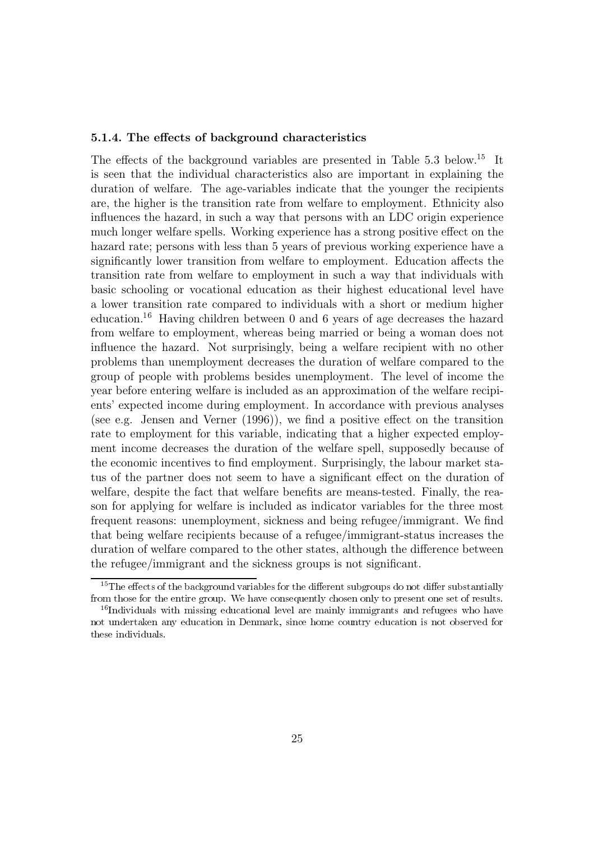#### 5.1.4. The effects of background characteristics

The effects of the background variables are presented in Table 5.3 below.<sup>15</sup> It is seen that the individual characteristics also are important in explaining the duration of welfare. The age-variables indicate that the younger the recipients are, the higher is the transition rate from welfare to employment. Ethnicity also influences the hazard, in such a way that persons with an LDC origin experience much longer welfare spells. Working experience has a strong positive effect on the hazard rate; persons with less than 5 years of previous working experience have a significantly lower transition from welfare to employment. Education affects the transition rate from welfare to employment in such a way that individuals with basic schooling or vocational education as their highest educational level have a lower transition rate compared to individuals with a short or medium higher education.<sup>16</sup> Having children between 0 and 6 years of age decreases the hazard from welfare to employment, whereas being married or being a woman does not influence the hazard. Not surprisingly, being a welfare recipient with no other problems than unemployment decreases the duration of welfare compared to the group of people with problems besides unemployment. The level of income the year before entering welfare is included as an approximation of the welfare recipients' expected income during employment. In accordance with previous analyses (see e.g. Jensen and Verner  $(1996)$ ), we find a positive effect on the transition rate to employment for this variable, indicating that a higher expected employment income decreases the duration of the welfare spell, supposedly because of the economic incentives to find employment. Surprisingly, the labour market status of the partner does not seem to have a significant effect on the duration of welfare, despite the fact that welfare benefits are means-tested. Finally, the reason for applying for welfare is included as indicator variables for the three most frequent reasons: unemployment, sickness and being refugee/immigrant. We find that being welfare recipients because of a refugee/immigrant-status increases the duration of welfare compared to the other states, although the difference between the refugee/immigrant and the sickness groups is not significant.

<sup>&</sup>lt;sup>15</sup>The effects of the background variables for the different subgroups do not differ substantially from those for the entire group. We have consequently chosen only to present one set of results.

 $16$ Individuals with missing educational level are mainly immigrants and refugees who have not undertaken any education in Denmark, since home country education is not observed for these individuals.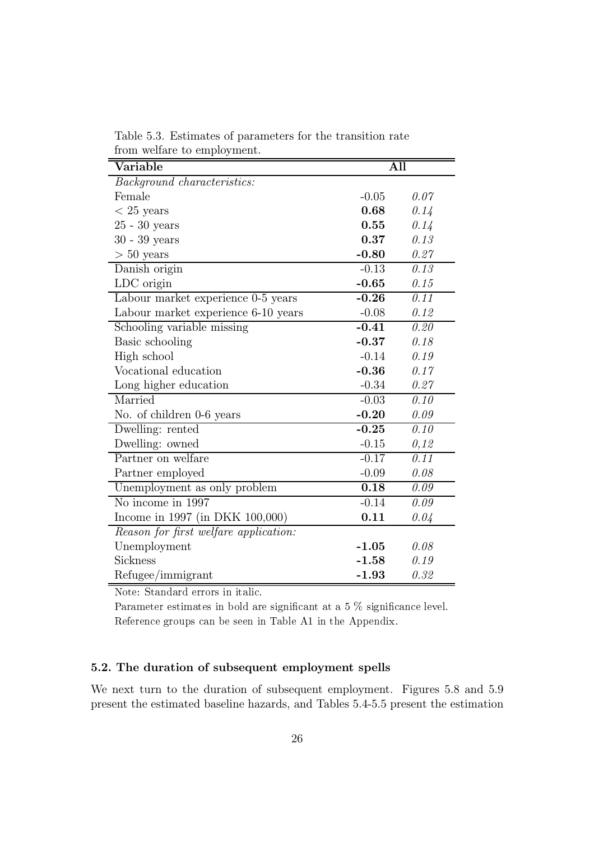| Variable                              | All     |      |
|---------------------------------------|---------|------|
| Background characteristics:           |         |      |
| Female                                | $-0.05$ | 0.07 |
| $< 25$ years                          | 0.68    | 0.14 |
| $25$ - $30$ years                     | 0.55    | 0.14 |
| $30 - 39$ years                       | 0.37    | 0.13 |
| $> 50$ years                          | $-0.80$ | 0.27 |
| Danish origin                         | $-0.13$ | 0.13 |
| LDC origin                            | $-0.65$ | 0.15 |
| Labour market experience 0-5 years    | $-0.26$ | 0.11 |
| Labour market experience 6-10 years   | $-0.08$ | 0.12 |
| Schooling variable missing            | $-0.41$ | 0.20 |
| Basic schooling                       | $-0.37$ | 0.18 |
| High school                           | $-0.14$ | 0.19 |
| Vocational education                  | $-0.36$ | 0.17 |
| Long higher education                 | $-0.34$ | 0.27 |
| Married                               | $-0.03$ | 0.10 |
| No. of children 0-6 years             | $-0.20$ | 0.09 |
| Dwelling: rented                      | $-0.25$ | 0.10 |
| Dwelling: owned                       | $-0.15$ | 0,12 |
| Partner on welfare                    | $-0.17$ | 0.11 |
| Partner employed                      | $-0.09$ | 0.08 |
| Unemployment as only problem          | 0.18    | 0.09 |
| No income in 1997                     | $-0.14$ | 0.09 |
| Income in 1997 (in DKK 100,000)       | 0.11    | 0.04 |
| Reason for first welfare application: |         |      |
| Unemployment                          | $-1.05$ | 0.08 |
| Sickness                              | $-1.58$ | 0.19 |
| Refugee/immigrant                     | $-1.93$ | 0.32 |

Table 5.3. Estimates of parameters for the transition rate from welfare to employment

Note: Standard errors in italic.

Parameter estimates in bold are significant at a 5  $\%$  significance level. Reference groups can be seen in Table A1 in the Appendix.

#### 5.2. The duration of subsequent employment spells

We next turn to the duration of subsequent employment. Figures 5.8 and 5.9 present the estimated baseline hazards, and Tables 5.4-5.5 present the estimation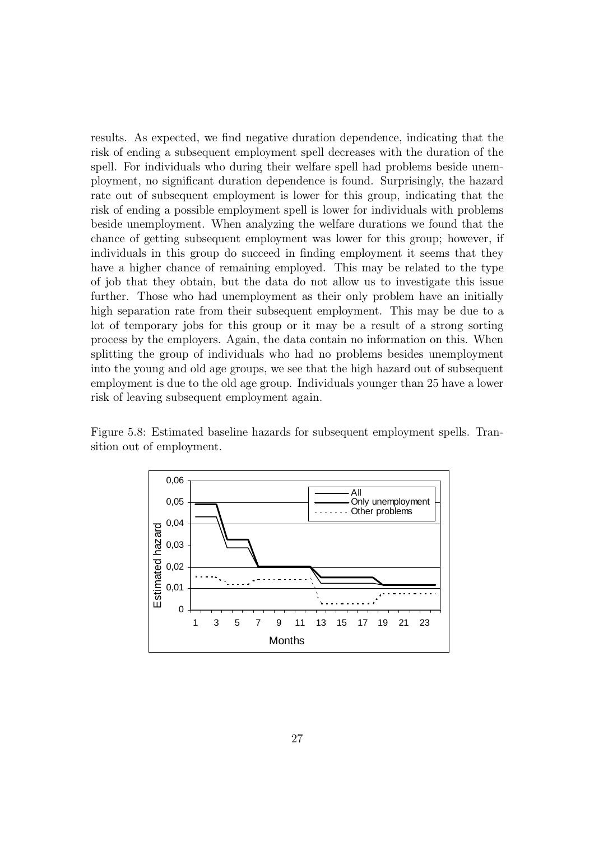results. As expected, we find negative duration dependence, indicating that the risk of ending a subsequent employment spell decreases with the duration of the spell. For individuals who during their welfare spell had problems beside unemployment, no significant duration dependence is found. Surprisingly, the hazard rate out of subsequent employment is lower for this group, indicating that the risk of ending a possible employment spell is lower for individuals with problems beside unemployment. When analyzing the welfare durations we found that the chance of getting subsequent employment was lower for this group: however, if individuals in this group do succeed in finding employment it seems that they have a higher chance of remaining employed. This may be related to the type of job that they obtain, but the data do not allow us to investigate this issue further. Those who had unemployment as their only problem have an initially high separation rate from their subsequent employment. This may be due to a lot of temporary jobs for this group or it may be a result of a strong sorting process by the employers. Again, the data contain no information on this. When splitting the group of individuals who had no problems besides unemployment  $\frac{1}{2}$  into the voung and old age groups, we see that the high hazard out of subsequent  $\epsilon$  employment is due to the old age group. Individuals vounger than 25 have a lower risk of leaving subsequent employment again.

Figure 5.8: Estimated baseline hazards for subsequent employment spells. Transition out of employment.

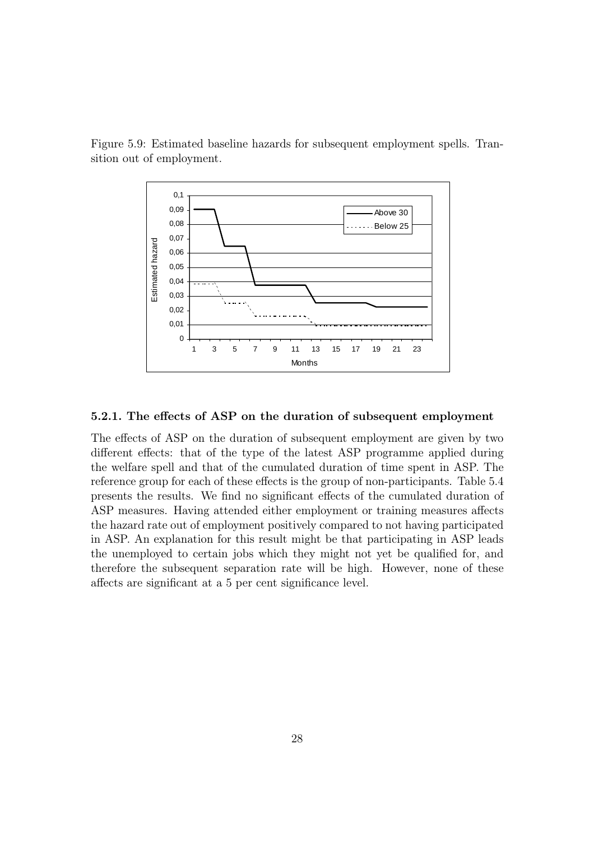



#### 5.2.1. The effects of ASP on the duration of subsequent employment

The effects of ASP on the duration of subsequent employment are given by two different effects: that of the type of the latest ASP programme applied during the welfare spell and that of the cumulated duration of time spent in ASP. The reference group for each of these effects is the group of non-participants. Table 5.4 presents the results. We find no significant effects of the cumulated duration of ASP measures. Having attended either employment or training measures affects the hazard rate out of employment positively compared to not having participated in ASP. An explanation for this result might be that participating in ASP leads the unemployed to certain jobs which they might not yet be qualified for, and therefore the subsequent separation rate will be high. However, none of these affects are significant at a 5 per cent significance level.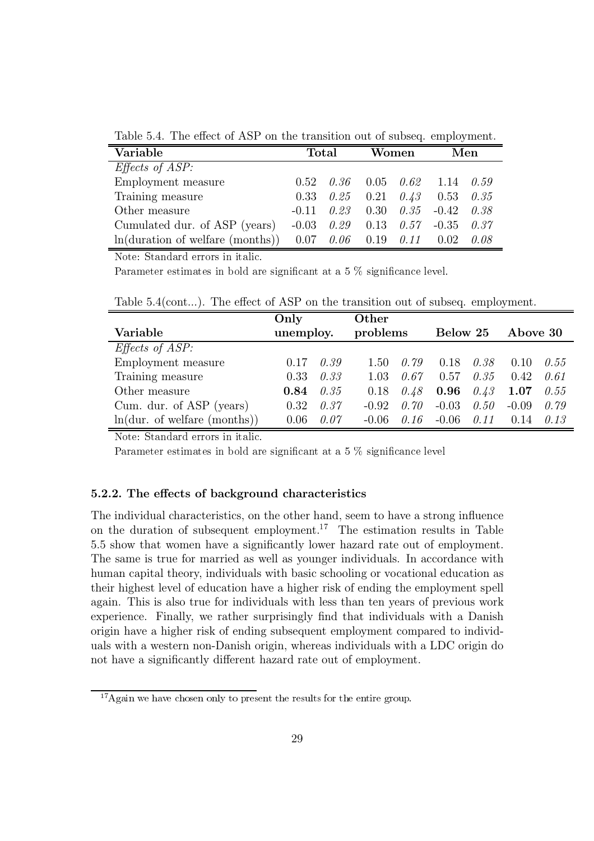Table 5.4. The effect of ASP on the transition out of subseq. employment.

| Variable                         | <b>Total</b> |      | Women |                   |                                     | Men  |
|----------------------------------|--------------|------|-------|-------------------|-------------------------------------|------|
| <i>Effects of ASP:</i>           |              |      |       |                   |                                     |      |
| Employment measure               | 0.52         | 0.36 |       |                   | $0.05$ $0.62$ $1.14$ $0.59$         |      |
| Training measure                 | 0.33         |      |       |                   | $0.25$ $0.21$ $0.43$ $0.53$ $0.35$  |      |
| Other measure                    | $-0.11$      |      |       |                   | $0.23$ $0.30$ $0.35$ $-0.42$ $0.38$ |      |
| Cumulated dur. of ASP (years)    | $-0.03$      |      |       |                   | $0.29$ $0.13$ $0.57$ $-0.35$ $0.37$ |      |
| ln(duration of welfare (months)) | 0.07         | 0.06 |       | $0.19 \quad 0.11$ | 0.02                                | 0.08 |

Note: Standard errors in italic.

Parameter estimates in bold are significant at a 5  $\%$  significance level.

Table 5.4(cont...). The effect of ASP on the transition out of subseq. employment.

|                                   | Only      |      | Other    |      |          |      |          |      |
|-----------------------------------|-----------|------|----------|------|----------|------|----------|------|
| Variable                          | unemploy. |      | problems |      | Below 25 |      | Above 30 |      |
| $E\text{ffects}$ of ASP:          |           |      |          |      |          |      |          |      |
| Employment measure                | 0.17      | 0.39 | 1.50     | 0.79 | 0.18     | 0.38 | 0.10     | 0.55 |
| Training measure                  | 0.33      | 0.33 | 1.03     | 0.67 | 0.57     | 0.35 | 0.42     | 0.61 |
| Other measure                     | 0.84      | 0.35 | 0.18     | 0.48 | 0.96     | 0.43 | 1.07     | 0.55 |
| Cum. dur. of ASP (years)          | 0.32      | 0.37 | $-0.92$  | 0.70 | $-0.03$  | 0.50 | $-0.09$  | 0.79 |
| $ln($ dur. of welfare $(months))$ | 0.06      | 0.07 | $-0.06$  | 0.16 | $-0.06$  | 0.11 | 0.14     | 0.13 |

Note: Standard errors in italic.

Parameter estimates in bold are significant at a 5  $\%$  significance level

#### 5.2.2. The effects of background characteristics

The individual characteristics, on the other hand, seem to have a strong influence on the duration of subsequent employment.<sup>17</sup> The estimation results in Table 5.5 show that women have a significantly lower hazard rate out of employment. The same is true for married as well as younger individuals. In accordance with human capital theory, individuals with basic schooling or vocational education as their highest level of education have a higher risk of ending the employment spell again. This is also true for individuals with less than ten years of previous work experience. Finally, we rather surprisingly find that individuals with a Danish origin have a higher risk of ending subsequent employment compared to individuals with a western non-Danish origin, whereas individuals with a LDC origin do not have a significantly different hazard rate out of employment.

 $17$ Again we have chosen only to present the results for the entire group.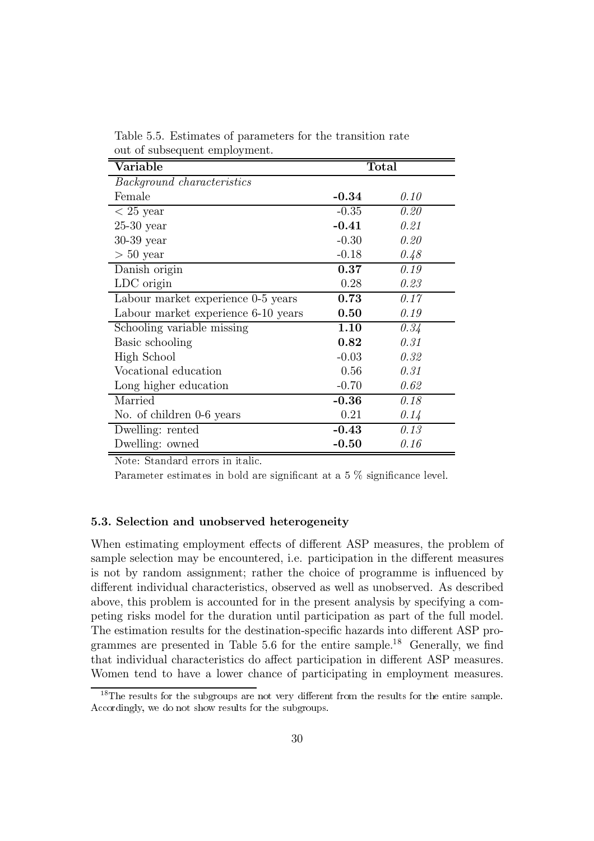| Variable                            |         | <b>Total</b> |
|-------------------------------------|---------|--------------|
| <i>Background characteristics</i>   |         |              |
| Female                              | $-0.34$ | 0.10         |
| $< 25$ year                         | $-0.35$ | 0.20         |
| $25-30$ year                        | $-0.41$ | 0.21         |
| $30-39$ year                        | $-0.30$ | 0.20         |
| $> 50$ year                         | $-0.18$ | 0.48         |
| Danish origin                       | 0.37    | 0.19         |
| LDC origin                          | 0.28    | 0.23         |
| Labour market experience 0-5 years  | 0.73    | 0.17         |
| Labour market experience 6-10 years | 0.50    | 0.19         |
| Schooling variable missing          | 1.10    | 0.34         |
| Basic schooling                     | 0.82    | 0.31         |
| High School                         | $-0.03$ | 0.32         |
| Vocational education                | 0.56    | 0.31         |
| Long higher education               | $-0.70$ | 0.62         |
| Married                             | $-0.36$ | 0.18         |
| No. of children 0-6 years           | 0.21    | 0.14         |
| Dwelling: rented                    | $-0.43$ | 0.13         |
| Dwelling: owned                     | $-0.50$ | 0.16         |

Table 5.5. Estimates of parameters for the transition rate out of subsequent employment.

Note: Standard errors in italic.

Parameter estimates in bold are significant at a  $5\%$  significance level.

#### 5.3. Selection and unobserved heterogeneity

When estimating employment effects of different ASP measures, the problem of sample selection may be encountered, i.e. participation in the different measures is not by random assignment; rather the choice of programme is influenced by different individual characteristics, observed as well as unobserved. As described above, this problem is accounted for in the present analysis by specifying a competing risks model for the duration until participation as part of the full model. The estimation results for the destination-specific hazards into different ASP programmes are presented in Table 5.6 for the entire sample.<sup>18</sup> Generally, we find that individual characteristics do affect participation in different ASP measures. Women tend to have a lower chance of participating in employment measures.

 $18$ The results for the subgroups are not very different from the results for the entire sample. Accordingly, we do not show results for the subgroups.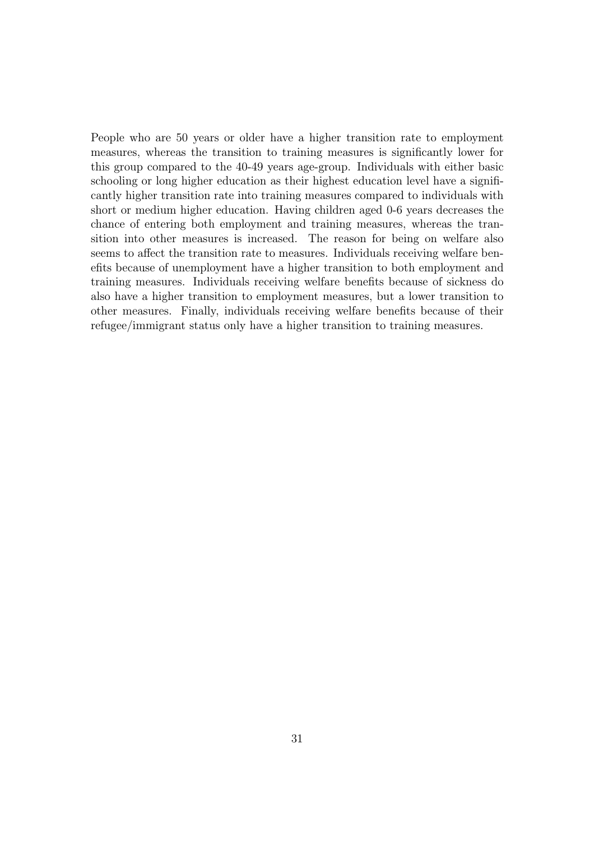People who are 50 years or older have a higher transition rate to employment measures, whereas the transition to training measures is significantly lower for this group compared to the 40-49 years age-group. Individuals with either basic schooling or long higher education as their highest education level have a significantly higher transition rate into training measures compared to individuals with short or medium higher education. Having children aged 0-6 years decreases the chance of entering both employment and training measures, whereas the transition into other measures is increased. The reason for being on welfare also seems to affect the transition rate to measures. Individuals receiving welfare benefits because of unemployment have a higher transition to both employment and training measures. Individuals receiving welfare benefits because of sickness do also have a higher transition to employment measures, but a lower transition to other measures. Finally, individuals receiving welfare benefits because of their refugee/immigrant status only have a higher transition to training measures.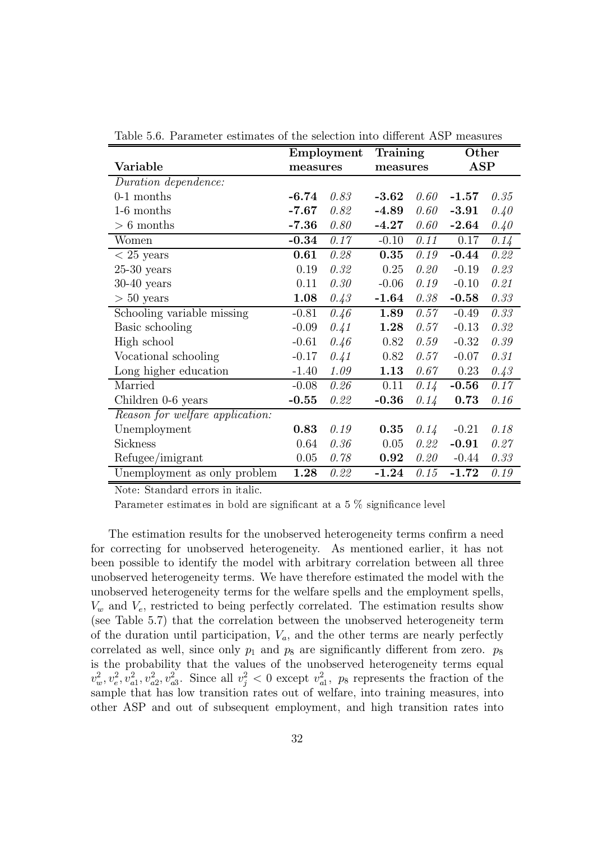|                                 | Employment |      | Training |      | Other      |      |
|---------------------------------|------------|------|----------|------|------------|------|
| Variable                        | measures   |      | measures |      | <b>ASP</b> |      |
| Duration dependence:            |            |      |          |      |            |      |
| $0-1$ months                    | $-6.74$    | 0.83 | $-3.62$  | 0.60 | $-1.57$    | 0.35 |
| 1-6 months                      | $-7.67$    | 0.82 | $-4.89$  | 0.60 | $-3.91$    | 0.40 |
| $> 6$ months                    | $-7.36$    | 0.80 | $-4.27$  | 0.60 | $-2.64$    | 0.40 |
| Women                           | $-0.34$    | 0.17 | $-0.10$  | 0.11 | 0.17       | 0.14 |
| $\overline{<}$ 25 years         | 0.61       | 0.28 | 0.35     | 0.19 | $-0.44$    | 0.22 |
| $25-30$ years                   | 0.19       | 0.32 | 0.25     | 0.20 | $-0.19$    | 0.23 |
| $30-40$ years                   | 0.11       | 0.30 | $-0.06$  | 0.19 | $-0.10$    | 0.21 |
| $> 50$ years                    | 1.08       | 0.43 | $-1.64$  | 0.38 | $-0.58$    | 0.33 |
| Schooling variable missing      | $-0.81$    | 0.46 | 1.89     | 0.57 | $-0.49$    | 0.33 |
| Basic schooling                 | $-0.09$    | 0.41 | 1.28     | 0.57 | $-0.13$    | 0.32 |
| High school                     | $-0.61$    | 0.46 | 0.82     | 0.59 | $-0.32$    | 0.39 |
| Vocational schooling            | $-0.17$    | 0.41 | 0.82     | 0.57 | $-0.07$    | 0.31 |
| Long higher education           | $-1.40$    | 1.09 | 1.13     | 0.67 | 0.23       | 0.43 |
| Married                         | $-0.08$    | 0.26 | 0.11     | 0.14 | $-0.56$    | 0.17 |
| Children 0-6 years              | $-0.55$    | 0.22 | $-0.36$  | 0.14 | 0.73       | 0.16 |
| Reason for welfare application: |            |      |          |      |            |      |
| Unemployment                    | 0.83       | 0.19 | 0.35     | 0.14 | $-0.21$    | 0.18 |
| Sickness                        | 0.64       | 0.36 | 0.05     | 0.22 | $-0.91$    | 0.27 |
| Refugee/imigrant                | 0.05       | 0.78 | 0.92     | 0.20 | $-0.44$    | 0.33 |
| Unemployment as only problem    | 1.28       | 0.22 | $-1.24$  | 0.15 | $-1.72$    | 0.19 |

Table 5.6. Parameter estimates of the selection into different ASP measures

Note: Standard errors in italic.

Parameter estimates in bold are significant at a 5  $\%$  significance level

The estimation results for the unobserved heterogeneity terms confirm a need for correcting for unobserved heterogeneity. As mentioned earlier, it has not been possible to identify the model with arbitrary correlation between all three unobserved heterogeneity terms. We have therefore estimated the model with the unobserved heterogeneity terms for the welfare spells and the employment spells,  $V_w$  and  $V_e$ , restricted to being perfectly correlated. The estimation results show (see Table 5.7) that the correlation between the unobserved heterogeneity term of the duration until participation,  $V_a$ , and the other terms are nearly perfectly correlated as well, since only  $p_1$  and  $p_8$  are significantly different from zero.  $p_8$ is the probability that the values of the unobserved heterogeneity terms equal  $v_w^2, v_e^2, v_{a1}^2, v_{a2}^2, v_{a3}^2$ . Since all  $v_j^2 < 0$  except  $v_{a1}^2$ ,  $p_8$  represents the fraction of the sample that has low transition rates out of welfare, into training measures, into other ASP and out of subsequent employment, and high transition rates into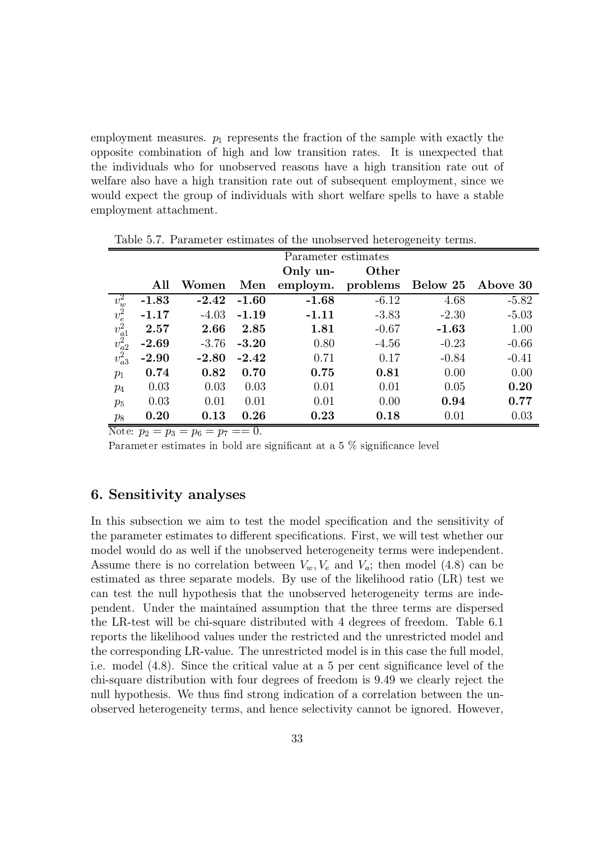employment measures.  $p_1$  represents the fraction of the sample with exactly the opposite combination of high and low transition rates. It is unexpected that the individuals who for unobserved reasons have a high transition rate out of welfare also have a high transition rate out of subsequent employment, since we would expect the group of individuals with short welfare spells to have a stable employment attachment.

|                                                                        | Parameter estimates |         |         |          |          |          |          |  |
|------------------------------------------------------------------------|---------------------|---------|---------|----------|----------|----------|----------|--|
|                                                                        |                     |         |         | Only un- | Other    |          |          |  |
|                                                                        | All                 | Women   | Men     | employm. | problems | Below 25 | Above 30 |  |
|                                                                        | $-1.83$             | $-2.42$ | $-1.60$ | $-1.68$  | $-6.12$  | 4.68     | $-5.82$  |  |
|                                                                        | $-1.17$             | $-4.03$ | $-1.19$ | $-1.11$  | $-3.83$  | $-2.30$  | $-5.03$  |  |
| $\frac{v_w^2}{v_e^2} \frac{v_e^2}{v_{a1}^2} \frac{v_{a2}^2}{v_{a3}^2}$ | 2.57                | 2.66    | 2.85    | 1.81     | $-0.67$  | $-1.63$  | 1.00     |  |
|                                                                        | $-2.69$             | $-3.76$ | $-3.20$ | 0.80     | $-4.56$  | $-0.23$  | $-0.66$  |  |
|                                                                        | $-2.90$             | $-2.80$ | $-2.42$ | 0.71     | 0.17     | $-0.84$  | $-0.41$  |  |
| $p_1$                                                                  | 0.74                | 0.82    | 0.70    | 0.75     | 0.81     | 0.00     | 0.00     |  |
| $p_4$                                                                  | 0.03                | 0.03    | 0.03    | 0.01     | 0.01     | 0.05     | 0.20     |  |
| $p_5$                                                                  | 0.03                | 0.01    | 0.01    | 0.01     | 0.00     | 0.94     | 0.77     |  |
| $p_8$                                                                  | 0.20                | 0.13    | 0.26    | 0.23     | 0.18     | 0.01     | 0.03     |  |

Table 5.7. Parameter estimates of the unobserved heterogeneity terms.

Note:  $p_2 = p_3 = p_6 = p_7 = 0$ .

Parameter estimates in bold are significant at a 5  $\%$  significance level

#### 6. Sensitivity analyses

In this subsection we aim to test the model specification and the sensitivity of the parameter estimates to different specifications. First, we will test whether our model would do as well if the unobserved heterogeneity terms were independent. Assume there is no correlation between  $V_w, V_e$  and  $V_a$ ; then model (4.8) can be estimated as three separate models. By use of the likelihood ratio (LR) test we can test the null hypothesis that the unobserved heterogeneity terms are independent. Under the maintained assumption that the three terms are dispersed the LR-test will be chi-square distributed with 4 degrees of freedom. Table 6.1 reports the likelihood values under the restricted and the unrestricted model and the corresponding LR-value. The unrestricted model is in this case the full model, i.e. model (4.8). Since the critical value at a 5 per cent significance level of the chi-square distribution with four degrees of freedom is 9.49 we clearly reject the null hypothesis. We thus find strong indication of a correlation between the unobserved heterogeneity terms, and hence selectivity cannot be ignored. However,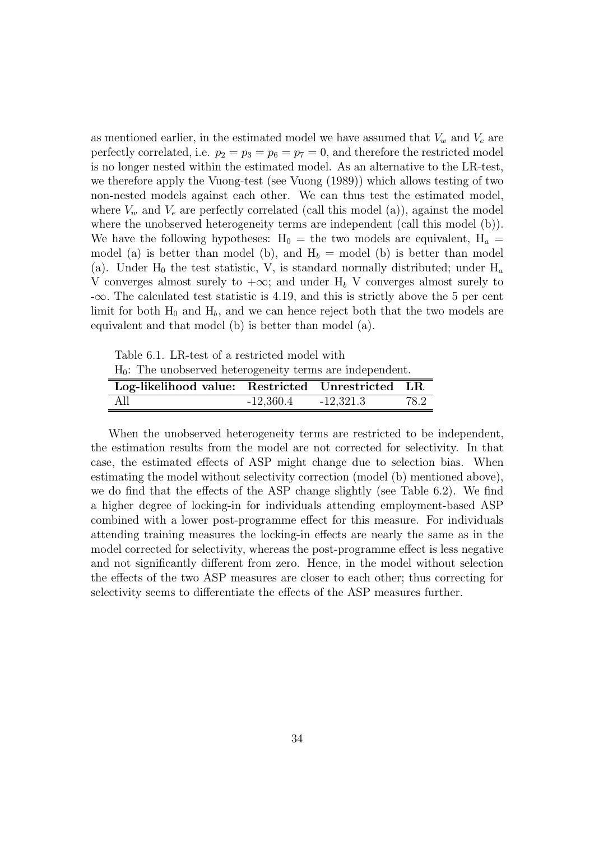as mentioned earlier, in the estimated model we have assumed that  $V_w$  and  $V_e$  are perfectly correlated, i.e.  $p_2 = p_3 = p_6 = p_7 = 0$ , and therefore the restricted model is no longer nested within the estimated model. As an alternative to the LR-test, we therefore apply the Vuong-test (see Vuong (1989)) which allows testing of two non-nested models against each other. We can thus test the estimated model, where  $V_w$  and  $V_e$  are perfectly correlated (call this model (a)), against the model where the unobserved heterogeneity terms are independent (call this model (b)). We have the following hypotheses:  $H_0 =$  the two models are equivalent,  $H_a =$ model (a) is better than model (b), and  $H_b =$  model (b) is better than model (a). Under  $H_0$  the test statistic, V, is standard normally distributed; under  $H_a$ V converges almost surely to  $+\infty$ ; and under H<sub>b</sub> V converges almost surely to  $-\infty$ . The calculated test statistic is 4.19, and this is strictly above the 5 per cent limit for both  $H_0$  and  $H_b$ , and we can hence reject both that the two models are equivalent and that model (b) is better than model (a).

Table 6.1. LR-test of a restricted model with

 $H_0$ : The unobserved heterogeneity terms are independent.

| Log-likelihood value: Restricted Unrestricted LR |             |             |      |
|--------------------------------------------------|-------------|-------------|------|
| - All                                            | $-12,360.4$ | $-12,321.3$ | 78.2 |

When the unobserved heterogeneity terms are restricted to be independent, the estimation results from the model are not corrected for selectivity. In that case, the estimated effects of ASP might change due to selection bias. When estimating the model without selectivity correction (model (b) mentioned above), we do find that the effects of the ASP change slightly (see Table 6.2). We find a higher degree of locking-in for individuals attending employment-based ASP combined with a lower post-programme effect for this measure. For individuals attending training measures the locking-in effects are nearly the same as in the model corrected for selectivity, whereas the post-programme effect is less negative and not significantly different from zero. Hence, in the model without selection the effects of the two ASP measures are closer to each other; thus correcting for selectivity seems to differentiate the effects of the ASP measures further.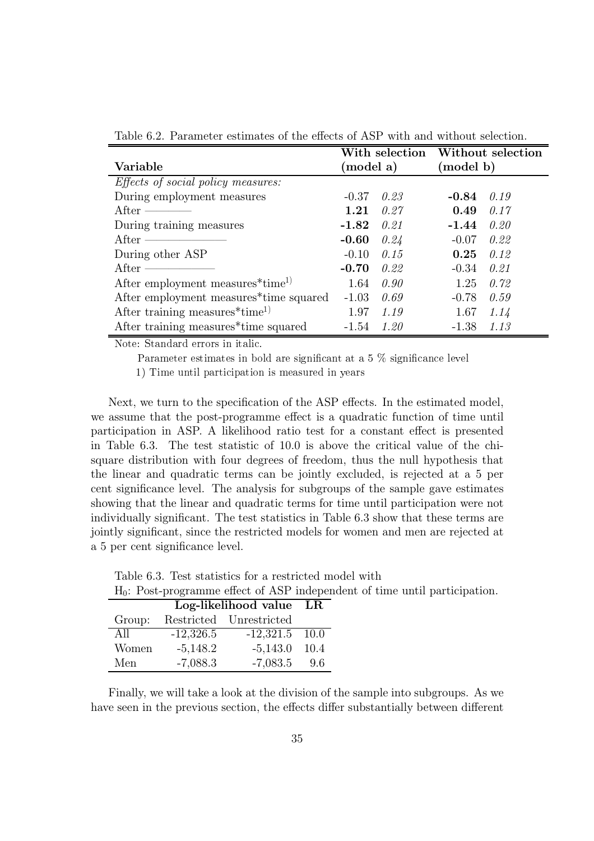|                                                                           |                        | With selection Without selection |         |      |
|---------------------------------------------------------------------------|------------------------|----------------------------------|---------|------|
| Variable                                                                  | (model a)<br>(model b) |                                  |         |      |
| <i>Effects of social policy measures:</i>                                 |                        |                                  |         |      |
| During employment measures                                                | $-0.37$                | 0.23                             | $-0.84$ | 0.19 |
| After ——                                                                  | 1.21                   | 0.27                             | 0.49    | 0.17 |
| During training measures                                                  | $-1.82$                | 0.21                             | $-1.44$ | 0.20 |
| After $\frac{1}{\sqrt{1-\frac{1}{2}}\cdot\frac{1}{\sqrt{1-\frac{1}{2}}}}$ | $-0.60$                | 0.24                             | $-0.07$ | 0.22 |
| During other ASP                                                          | $-0.10$                | 0.15                             | 0.25    | 0.12 |
| After ——————                                                              | $-0.70$                | 0.22                             | $-0.34$ | 0.21 |
| After employment measures*time <sup>1)</sup>                              | 1.64                   | 0.90                             | 1.25    | 0.72 |
| After employment measures <sup>**</sup> time squared                      | $-1.03$                | 0.69                             | $-0.78$ | 0.59 |
| After training measures $*$ time <sup>1)</sup>                            | 1.97                   | 1.19                             | 1.67    | 1.14 |
| After training measures*time squared                                      | $-1.54$                | 1.20                             | $-1.38$ | 1.13 |

Table 6.2. Parameter estimates of the effects of ASP with and without selection.

Note: Standard errors in italic.

Parameter estimates in bold are significant at a 5  $\%$  significance level

1) Time until participation is measured in years

Next, we turn to the specification of the ASP effects. In the estimated model, we assume that the post-programme effect is a quadratic function of time until participation in ASP. A likelihood ratio test for a constant effect is presented in Table 6.3. The test statistic of 10.0 is above the critical value of the chisquare distribution with four degrees of freedom, thus the null hypothesis that the linear and quadratic terms can be jointly excluded, is rejected at a 5 per cent significance level. The analysis for subgroups of the sample gave estimates showing that the linear and quadratic terms for time until participation were not individually significant. The test statistics in Table 6.3 show that these terms are jointly significant, since the restricted models for women and men are rejected at a 5 per cent significance level.

Table 6.3. Test statistics for a restricted model with H<sub>o</sub>: Post-programme effect of ASP independent of time until participation.

|  | $\mathbf{H}_{\parallel}$ . I obv programme energy of their independence of anne and p |  |  |  |
|--|---------------------------------------------------------------------------------------|--|--|--|
|  | Log-likelihood value LR                                                               |  |  |  |
|  | Group: Restricted Unrestricted                                                        |  |  |  |

| $\mathsf{u}_1 \mathsf{v}_2 \mathsf{u}_1$ | 1000011000 <del>0</del> | <u>UM UU TUUU T</u> |      |
|------------------------------------------|-------------------------|---------------------|------|
| All                                      | $-12,326.5$             | $-12,321.5$ 10.0    |      |
| Women                                    | $-5,148.2$              | $-5,143.0$          | 10.4 |
| Men                                      | $-7,088.3$              | $-7,083.5$          | 9.6  |

Finally, we will take a look at the division of the sample into subgroups. As we have seen in the previous section, the effects differ substantially between different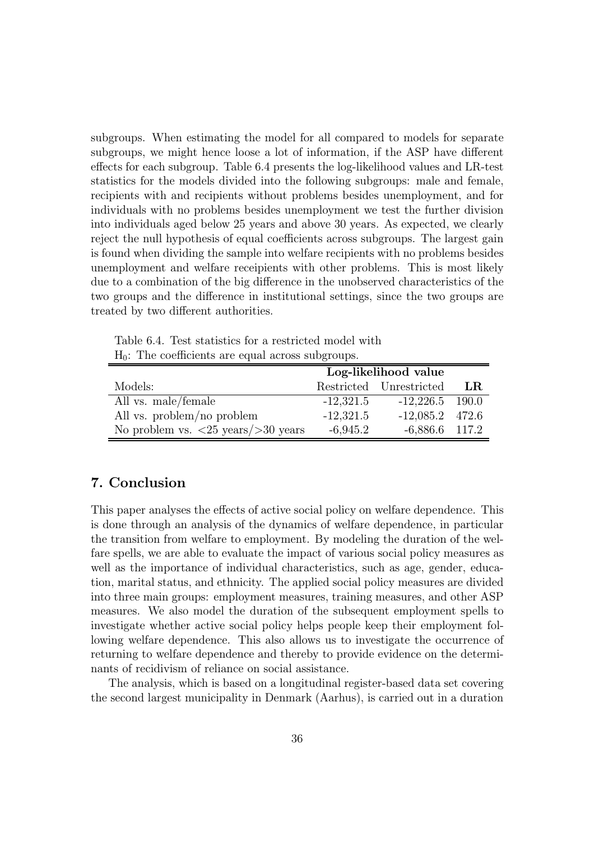subgroups. When estimating the model for all compared to models for separate subgroups, we might hence loose a lot of information, if the ASP have different effects for each subgroup. Table 6.4 presents the log-likelihood values and LR-test statistics for the models divided into the following subgroups: male and female, recipients with and recipients without problems besides unemployment, and for individuals with no problems besides unemployment we test the further division into individuals aged below 25 years and above 30 years. As expected, we clearly reject the null hypothesis of equal coefficients across subgroups. The largest gain is found when dividing the sample into welfare recipients with no problems besides unemployment and welfare receipients with other problems. This is most likely due to a combination of the big difference in the unobserved characteristics of the two groups and the difference in institutional settings, since the two groups are treated by two different authorities.

| $H_0$ : The coefficients are equal across subgroups.                 |                      |                         |    |  |
|----------------------------------------------------------------------|----------------------|-------------------------|----|--|
|                                                                      | Log-likelihood value |                         |    |  |
| Models:                                                              |                      | Restricted Unrestricted | LR |  |
| All vs. male/female                                                  | $-12,321.5$          | $-12,226.5$ 190.0       |    |  |
| All vs. problem/no problem                                           | $-12,321.5$          | $-12,085.2$ 472.6       |    |  |
| No problem vs. $\langle 25 \text{ years} / \rangle 30 \text{ years}$ | $-6.945.2$           | $-6,886.6$ 117.2        |    |  |

Table 6.4. Test statistics for a restricted model with  $H_{\alpha}$ . The coefficients are equal across sub

#### 7. Conclusion

This paper analyses the effects of active social policy on welfare dependence. This is done through an analysis of the dynamics of welfare dependence, in particular the transition from welfare to employment. By modeling the duration of the welfare spells, we are able to evaluate the impact of various social policy measures as well as the importance of individual characteristics, such as age, gender, education, marital status, and ethnicity. The applied social policy measures are divided into three main groups: employment measures, training measures, and other ASP measures. We also model the duration of the subsequent employment spells to investigate whether active social policy helps people keep their employment following welfare dependence. This also allows us to investigate the occurrence of returning to welfare dependence and thereby to provide evidence on the determinants of recidivism of reliance on social assistance.

The analysis, which is based on a longitudinal register-based data set covering the second largest municipality in Denmark (Aarhus), is carried out in a duration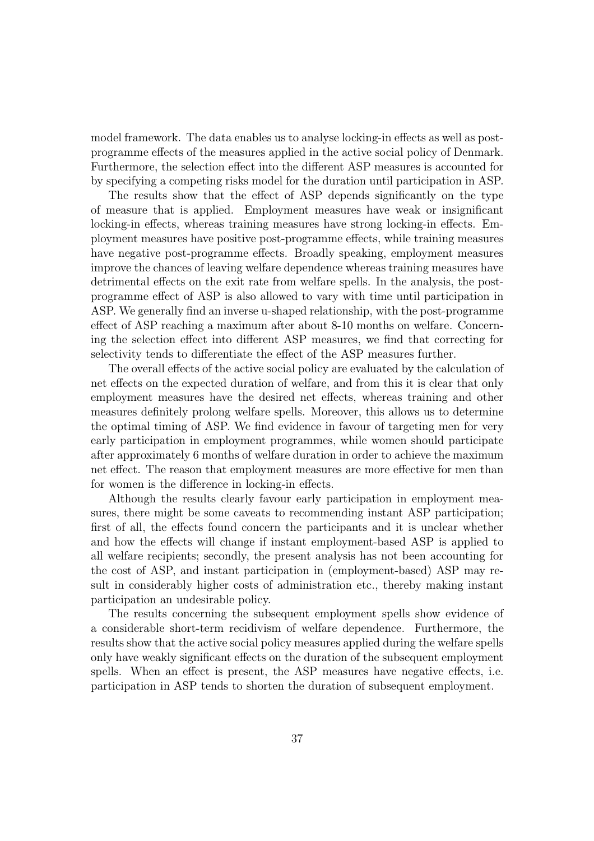model framework. The data enables us to analyse locking-in effects as well as postprogramme effects of the measures applied in the active social policy of Denmark. Furthermore, the selection effect into the different ASP measures is accounted for by specifying a competing risks model for the duration until participation in ASP.

The results show that the effect of ASP depends significantly on the type of measure that is applied. Employment measures have weak or insignificant locking-in effects, whereas training measures have strong locking-in effects. Employment measures have positive post-programme effects, while training measures have negative post-programme effects. Broadly speaking, employment measures improve the chances of leaving welfare dependence whereas training measures have detrimental effects on the exit rate from welfare spells. In the analysis, the postprogramme effect of ASP is also allowed to vary with time until participation in ASP. We generally find an inverse u-shaped relationship, with the post-programme effect of ASP reaching a maximum after about 8-10 months on welfare. Concerning the selection effect into different ASP measures, we find that correcting for selectivity tends to differentiate the effect of the ASP measures further.

The overall effects of the active social policy are evaluated by the calculation of net effects on the expected duration of welfare, and from this it is clear that only employment measures have the desired net effects, whereas training and other measures definitely prolong welfare spells. Moreover, this allows us to determine the optimal timing of ASP. We find evidence in favour of targeting men for very early participation in employment programmes, while women should participate after approximately 6 months of welfare duration in order to achieve the maximum net effect. The reason that employment measures are more effective for men than for women is the difference in locking-in effects.

Although the results clearly favour early participation in employment measures, there might be some caveats to recommending instant ASP participation; first of all, the effects found concern the participants and it is unclear whether and how the effects will change if instant employment-based ASP is applied to all welfare recipients; secondly, the present analysis has not been accounting for the cost of ASP, and instant participation in (employment-based) ASP may result in considerably higher costs of administration etc., thereby making instant participation an undesirable policy.

The results concerning the subsequent employment spells show evidence of a considerable short-term recidivism of welfare dependence. Furthermore, the results show that the active social policy measures applied during the welfare spells only have weakly significant effects on the duration of the subsequent employment spells. When an effect is present, the ASP measures have negative effects, i.e. participation in ASP tends to shorten the duration of subsequent employment.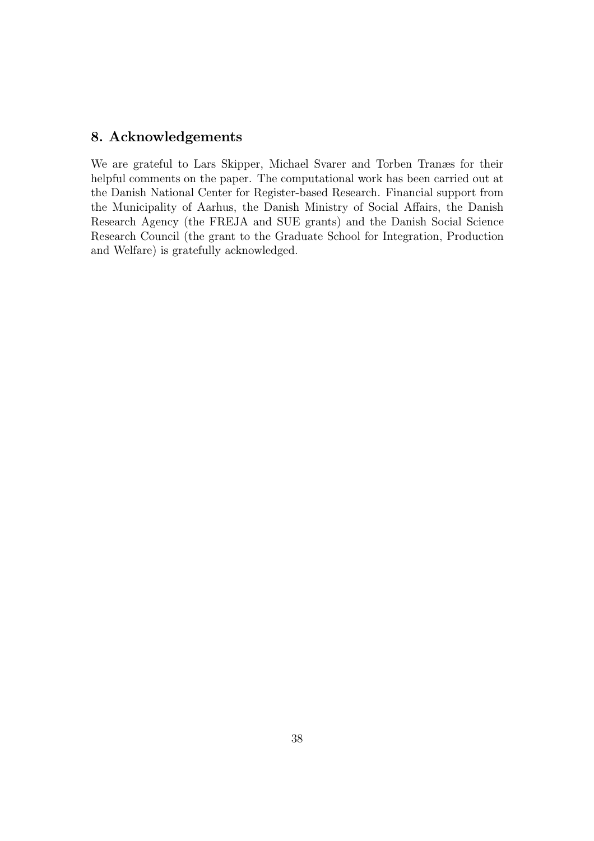#### 8. Acknowledgements

We are grateful to Lars Skipper, Michael Svarer and Torben Tranæs for their helpful comments on the paper. The computational work has been carried out at the Danish National Center for Register-based Research. Financial support from the Municipality of Aarhus, the Danish Ministry of Social Affairs, the Danish Research Agency (the FREJA and SUE grants) and the Danish Social Science Research Council (the grant to the Graduate School for Integration, Production and Welfare) is gratefully acknowledged.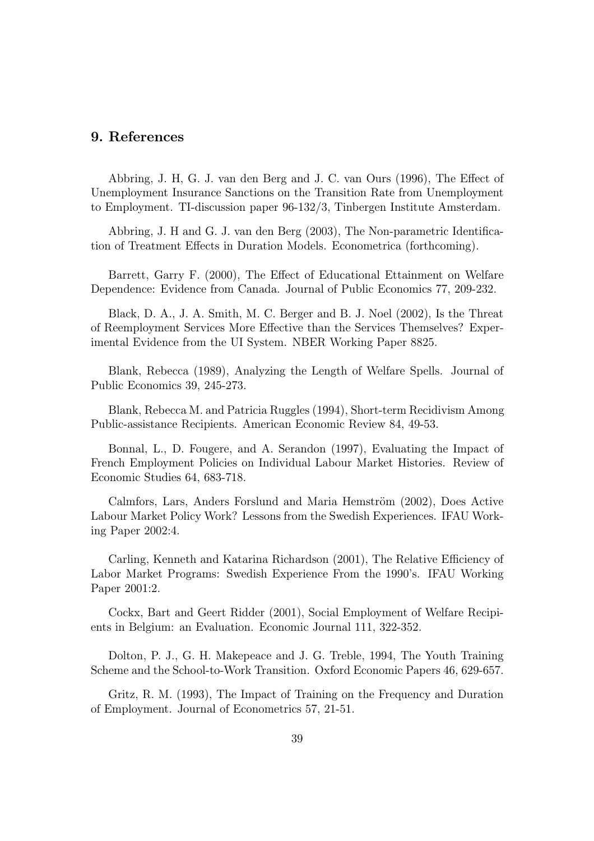#### 9. References

Abbring, J. H. G. J. van den Berg and J. C. van Ours (1996), The Effect of Unemployment Insurance Sanctions on the Transition Rate from Unemployment to Employment. TI-discussion paper 96-132/3, Tinbergen Institute Amsterdam.

Abbring, J. H and G. J. van den Berg (2003), The Non-parametric Identification of Treatment Effects in Duration Models. Econometrica (forthcoming).

Barrett, Garry F. (2000), The Effect of Educational Ettainment on Welfare Dependence: Evidence from Canada. Journal of Public Economics 77, 209-232.

Black, D. A., J. A. Smith, M. C. Berger and B. J. Noel (2002), Is the Threat of Reemployment Services More Effective than the Services Themselves? Experimental Evidence from the UI System. NBER Working Paper 8825.

Blank, Rebecca (1989), Analyzing the Length of Welfare Spells. Journal of Public Economics 39, 245-273.

Blank, Rebecca M. and Patricia Ruggles (1994), Short-term Recidivism Among Public-assistance Recipients. American Economic Review 84, 49-53.

Bonnal, L., D. Fougere, and A. Serandon (1997), Evaluating the Impact of French Employment Policies on Individual Labour Market Histories. Review of Economic Studies 64, 683-718.

Calmfors, Lars, Anders Forslund and Maria Hemström (2002), Does Active Labour Market Policy Work? Lessons from the Swedish Experiences. IFAU Working Paper 2002:4.

Carling, Kenneth and Katarina Richardson (2001), The Relative Efficiency of Labor Market Programs: Swedish Experience From the 1990's. IFAU Working Paper 2001:2.

Cockx, Bart and Geert Ridder (2001), Social Employment of Welfare Recipients in Belgium: an Evaluation. Economic Journal 111, 322-352.

Dolton, P. J., G. H. Makepeace and J. G. Treble, 1994, The Youth Training Scheme and the School-to-Work Transition. Oxford Economic Papers 46, 629-657.

Gritz, R. M. (1993), The Impact of Training on the Frequency and Duration of Employment. Journal of Econometrics 57, 21-51.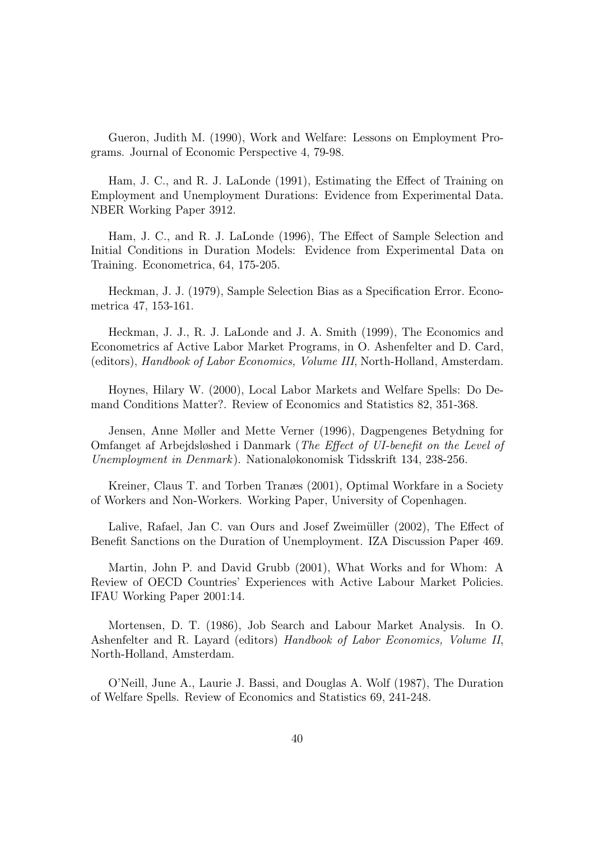Gueron, Judith M. (1990), Work and Welfare: Lessons on Employment Programs. Journal of Economic Perspective 4, 79-98.

Ham, J. C., and R. J. LaLonde (1991), Estimating the Effect of Training on Employment and Unemployment Durations: Evidence from Experimental Data. NBER Working Paper 3912.

Ham, J. C., and R. J. LaLonde (1996), The Effect of Sample Selection and Initial Conditions in Duration Models: Evidence from Experimental Data on Training. Econometrica, 64, 175-205.

Heckman, J. J. (1979), Sample Selection Bias as a Specification Error. Econometrica 47, 153-161.

Heckman, J. J., R. J. LaLonde and J. A. Smith (1999), The Economics and Econometrics af Active Labor Market Programs, in O. Ashenfelter and D. Card, (editors), *Handbook of Labor Economics, Volume III*, North-Holland, Amsterdam.

Hoynes, Hilary W. (2000), Local Labor Markets and Welfare Spells: Do Demand Conditions Matter?. Review of Economics and Statistics 82, 351-368.

Jensen, Anne Møller and Mette Verner (1996), Dagpengenes Betydning for Omfanget af Arbejdsløshed i Danmark (*The Effect of UI-benefit on the Level of* Unemployment in Denmark). Nationaløkonomisk Tidsskrift 134, 238-256.

Kreiner, Claus T. and Torben Transes (2001), Optimal Workfare in a Society of Workers and Non-Workers. Working Paper, University of Copenhagen.

Lalive, Rafael, Jan C. van Ours and Josef Zweimüller (2002), The Effect of Benefit Sanctions on the Duration of Unemployment. IZA Discussion Paper 469.

Martin, John P. and David Grubb (2001), What Works and for Whom: A Review of OECD Countries' Experiences with Active Labour Market Policies. IFAU Working Paper 2001:14.

Mortensen, D. T. (1986), Job Search and Labour Market Analysis. In O. Ashenfelter and R. Layard (editors) Handbook of Labor Economics, Volume II, North-Holland, Amsterdam.

O'Neill, June A., Laurie J. Bassi, and Douglas A. Wolf (1987). The Duration of Welfare Spells. Review of Economics and Statistics 69, 241-248.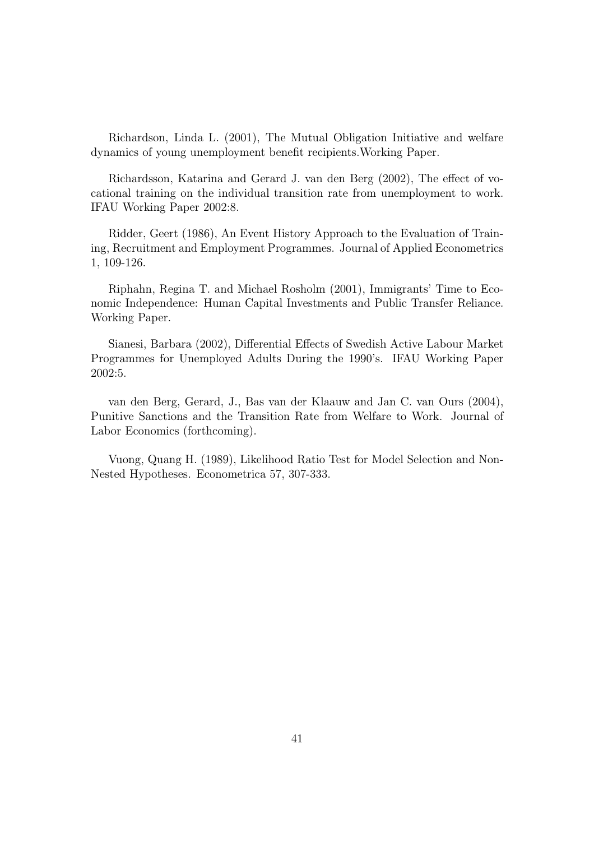Richardson, Linda L. (2001), The Mutual Obligation Initiative and welfare dynamics of young unemployment benefit recipients. Working Paper.

Richardsson, Katarina and Gerard J. van den Berg (2002), The effect of vocational training on the individual transition rate from unemployment to work. IFAU Working Paper 2002:8.

Ridder, Geert (1986), An Event History Approach to the Evaluation of Training, Recruitment and Employment Programmes. Journal of Applied Econometrics 1, 109-126.

Riphahn, Regina T. and Michael Rosholm (2001), Immigrants' Time to Economic Independence: Human Capital Investments and Public Transfer Reliance. Working Paper.

Sianesi, Barbara (2002), Differential Effects of Swedish Active Labour Market Programmes for Unemployed Adults During the 1990's. IFAU Working Paper 2002:5.

van den Berg, Gerard, J., Bas van der Klaauw and Jan C. van Ours (2004), Punitive Sanctions and the Transition Rate from Welfare to Work. Journal of Labor Economics (forthcoming).

Vuong, Quang H. (1989), Likelihood Ratio Test for Model Selection and Non-Nested Hypotheses. Econometrica 57, 307-333.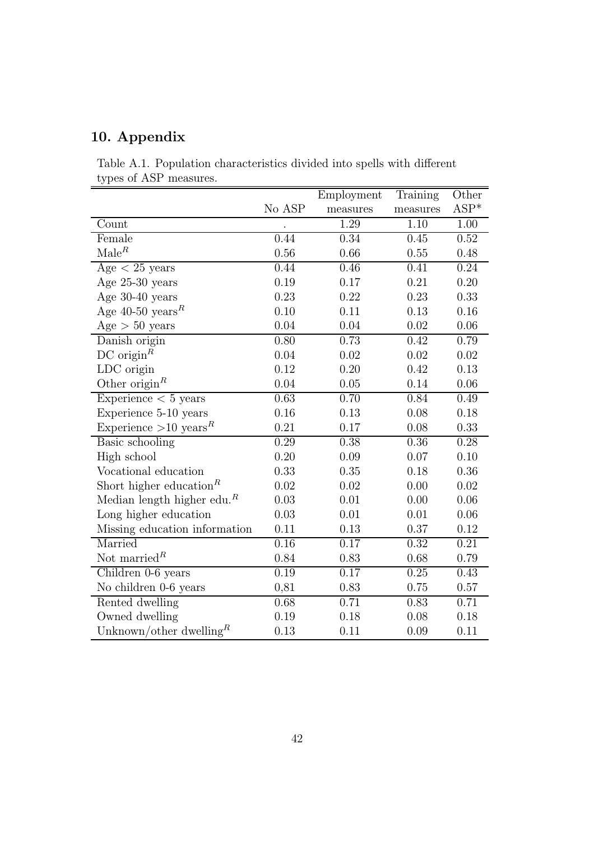## 10. Appendix

|                        | Table A.1. Population characteristics divided into spells with different |  |  |  |
|------------------------|--------------------------------------------------------------------------|--|--|--|
| types of ASP measures. |                                                                          |  |  |  |

|                                                     |        | Employment | Training | Other  |
|-----------------------------------------------------|--------|------------|----------|--------|
|                                                     | No ASP | measures   | measures | $ASP*$ |
| Count                                               |        | 1.29       | 1.10     | 1.00   |
| Female                                              | 0.44   | 0.34       | 0.45     | 0.52   |
| $\text{Male}^R$                                     | 0.56   | 0.66       | 0.55     | 0.48   |
| $Age < 25$ years                                    | 0.44   | 0.46       | 0.41     | 0.24   |
| Age $25-30$ years                                   | 0.19   | 0.17       | 0.21     | 0.20   |
| Age 30-40 years                                     | 0.23   | 0.22       | 0.23     | 0.33   |
| Age 40-50 years <sup>R</sup>                        | 0.10   | 0.11       | 0.13     | 0.16   |
| Age > 50 years                                      | 0.04   | 0.04       | 0.02     | 0.06   |
| Danish origin                                       | 0.80   | 0.73       | 0.42     | 0.79   |
| DC origin <sup><math>R</math></sup>                 | 0.04   | 0.02       | 0.02     | 0.02   |
| LDC origin                                          | 0.12   | 0.20       | 0.42     | 0.13   |
| Other origin <sup><math>R</math></sup>              | 0.04   | 0.05       | 0.14     | 0.06   |
| Experience $< 5$ years                              | 0.63   | 0.70       | 0.84     | 0.49   |
| Experience 5-10 years                               | 0.16   | 0.13       | 0.08     | 0.18   |
| Experience $>10$ years <sup>R</sup>                 | 0.21   | 0.17       | 0.08     | 0.33   |
| Basic schooling                                     | 0.29   | 0.38       | 0.36     | 0.28   |
| High school                                         | 0.20   | 0.09       | 0.07     | 0.10   |
| Vocational education                                | 0.33   | 0.35       | 0.18     | 0.36   |
| Short higher education <sup>R</sup>                 | 0.02   | 0.02       | 0.00     | 0.02   |
| Median length higher edu. <sup><math>R</math></sup> | 0.03   | 0.01       | 0.00     | 0.06   |
| Long higher education                               | 0.03   | 0.01       | 0.01     | 0.06   |
| Missing education information                       | 0.11   | 0.13       | 0.37     | 0.12   |
| Married                                             | 0.16   | 0.17       | 0.32     | 0.21   |
| Not married <sup><math>R</math></sup>               | 0.84   | 0.83       | 0.68     | 0.79   |
| Children 0-6 years                                  | 0.19   | 0.17       | 0.25     | 0.43   |
| No children 0-6 years                               | 0,81   | 0.83       | 0.75     | 0.57   |
| Rented dwelling                                     | 0.68   | 0.71       | 0.83     | 0.71   |
| Owned dwelling                                      | 0.19   | 0.18       | 0.08     | 0.18   |
| Unknown/other dwelling <sup>R</sup>                 | 0.13   | 0.11       | 0.09     | 0.11   |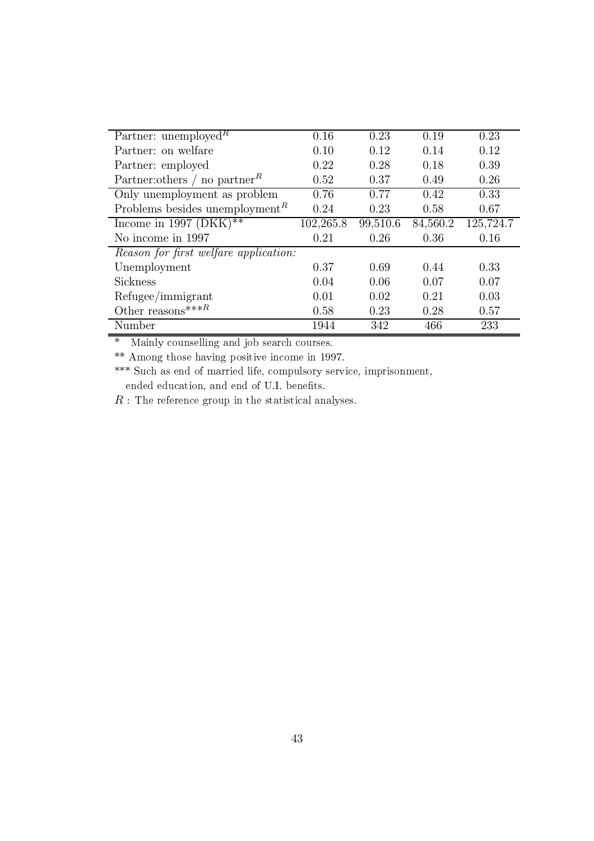| Partner: unemployed <sup>R</sup>                            | 0.16      | 0.23     | 0.19     | 0.23      |
|-------------------------------------------------------------|-----------|----------|----------|-----------|
| Partner: on welfare                                         | 0.10      | 0.12     | 0.14     | 0.12      |
| Partner: employed                                           | 0.22      | 0.28     | 0.18     | 0.39      |
| Partner: others / no partner <sup><math>\kappa</math></sup> | 0.52      | 0.37     | 0.49     | 0.26      |
| Only unemployment as problem                                | 0.76      | 0.77     | 0.42     | 0.33      |
| Problems besides unemployment <sup><math>R</math></sup>     | 0.24      | 0.23     | 0.58     | 0.67      |
| Income in 1997 (DKK)**                                      | 102,265.8 | 99,510.6 | 84,560.2 | 125,724.7 |
| No income in 1997                                           | 0.21      | 0.26     | 0.36     | 0.16      |
| Reason for first welfare application:                       |           |          |          |           |
| Unemployment                                                | 0.37      | 0.69     | 0.44     | 0.33      |
| <b>Sickness</b>                                             | 0.04      | 0.06     | 0.07     | 0.07      |
| Refugee/immigrant                                           | 0.01      | 0.02     | 0.21     | 0.03      |
| Other reasons *** $R$                                       | 0.58      | 0.23     | 0.28     | 0.57      |
| Number                                                      | 1944      | 342      | 466      | 233       |

\* Mainly counselling and job search courses.

\*\* Among those having positive income in 1997.

\*\*\* Such as end of married life, compulsory service, imprisonment, ended education, and end of U.I. benefits.

 $R$ : The reference group in the statistical analyses.